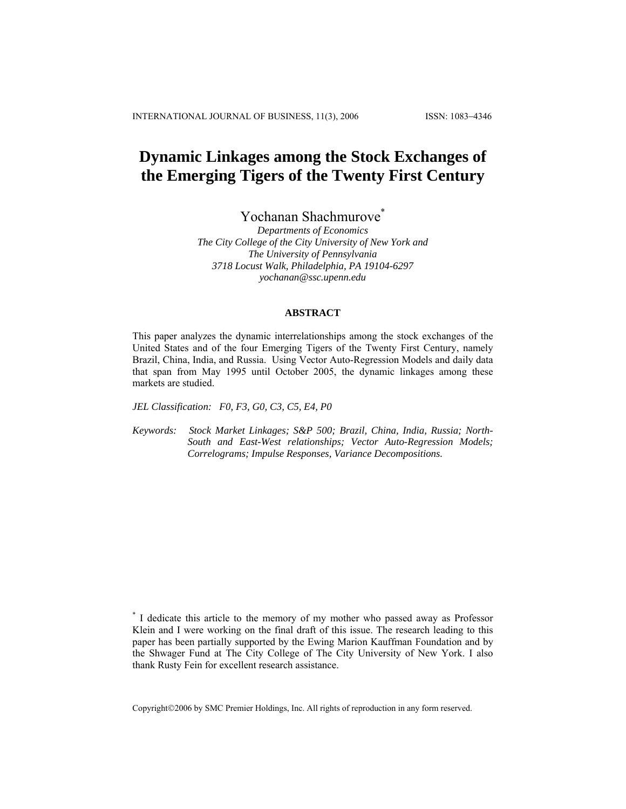# **Dynamic Linkages among the Stock Exchanges of the Emerging Tigers of the Twenty First Century**

Yochanan Shachmurove \*

*Departments of Economics The City College of the City University of New York and The University of Pennsylvania 3718 Locust Walk, Philadelphia, PA 19104-6297 yochanan@ssc.upenn.edu*

#### **ABSTRACT**

This paper analyzes the dynamic interrelationships among the stock exchanges of the United States and of the four Emerging Tigers of the Twenty First Century, namely Brazil, China, India, and Russia. Using Vector Auto-Regression Models and daily data that span from May 1995 until October 2005, the dynamic linkages among these markets are studied.

*JEL Classification: F0, F3, G0, C3, C5, E4, P0*

*Keywords: Stock Market Linkages; S&P 500; Brazil, China, India, Russia; North-South and East-West relationships; Vector Auto-Regression Models; Correlograms; Impulse Responses, Variance Decompositions.* 

Copyright©2006 by SMC Premier Holdings, Inc. All rights of reproduction in any form reserved.

<sup>\*</sup> I dedicate this article to the memory of my mother who passed away as Professor Klein and I were working on the final draft of this issue. The research leading to this paper has been partially supported by the Ewing Marion Kauffman Foundation and by the Shwager Fund at The City College of The City University of New York. I also thank Rusty Fein for excellent research assistance.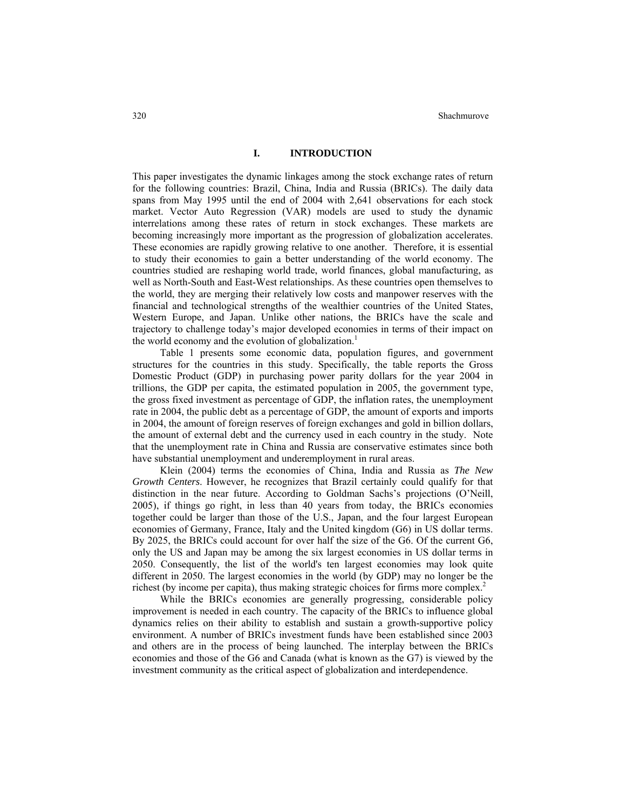# **I. INTRODUCTION**

This paper investigates the dynamic linkages among the stock exchange rates of return for the following countries: Brazil, China, India and Russia (BRICs). The daily data spans from May 1995 until the end of 2004 with 2,641 observations for each stock market. Vector Auto Regression (VAR) models are used to study the dynamic interrelations among these rates of return in stock exchanges. These markets are becoming increasingly more important as the progression of globalization accelerates. These economies are rapidly growing relative to one another. Therefore, it is essential to study their economies to gain a better understanding of the world economy. The countries studied are reshaping world trade, world finances, global manufacturing, as well as North-South and East-West relationships. As these countries open themselves to the world, they are merging their relatively low costs and manpower reserves with the financial and technological strengths of the wealthier countries of the United States, Western Europe, and Japan. Unlike other nations, the BRICs have the scale and trajectory to challenge today's major developed economies in terms of their impact on the world economy and the evolution of globalization.<sup>1</sup>

Table 1 presents some economic data, population figures, and government structures for the countries in this study. Specifically, the table reports the Gross Domestic Product (GDP) in purchasing power parity dollars for the year 2004 in trillions, the GDP per capita, the estimated population in 2005, the government type, the gross fixed investment as percentage of GDP, the inflation rates, the unemployment rate in 2004, the public debt as a percentage of GDP, the amount of exports and imports in 2004, the amount of foreign reserves of foreign exchanges and gold in billion dollars, the amount of external debt and the currency used in each country in the study. Note that the unemployment rate in China and Russia are conservative estimates since both have substantial unemployment and underemployment in rural areas.

Klein (2004) terms the economies of China, India and Russia as *The New Growth Centers*. However, he recognizes that Brazil certainly could qualify for that distinction in the near future. According to Goldman Sachs's projections (O'Neill, 2005), if things go right, in less than 40 years from today, the BRICs economies together could be larger than those of the U.S., Japan, and the four largest European economies of Germany, France, Italy and the United kingdom (G6) in US dollar terms. By 2025, the BRICs could account for over half the size of the G6. Of the current G6, only the US and Japan may be among the six largest economies in US dollar terms in 2050. Consequently, the list of the world's ten largest economies may look quite different in 2050. The largest economies in the world (by GDP) may no longer be the richest (by income per capita), thus making strategic choices for firms more complex.<sup>2</sup>

While the BRICs economies are generally progressing, considerable policy improvement is needed in each country. The capacity of the BRICs to influence global dynamics relies on their ability to establish and sustain a growth-supportive policy environment. A number of BRICs investment funds have been established since 2003 and others are in the process of being launched. The interplay between the BRICs economies and those of the G6 and Canada (what is known as the G7) is viewed by the investment community as the critical aspect of globalization and interdependence.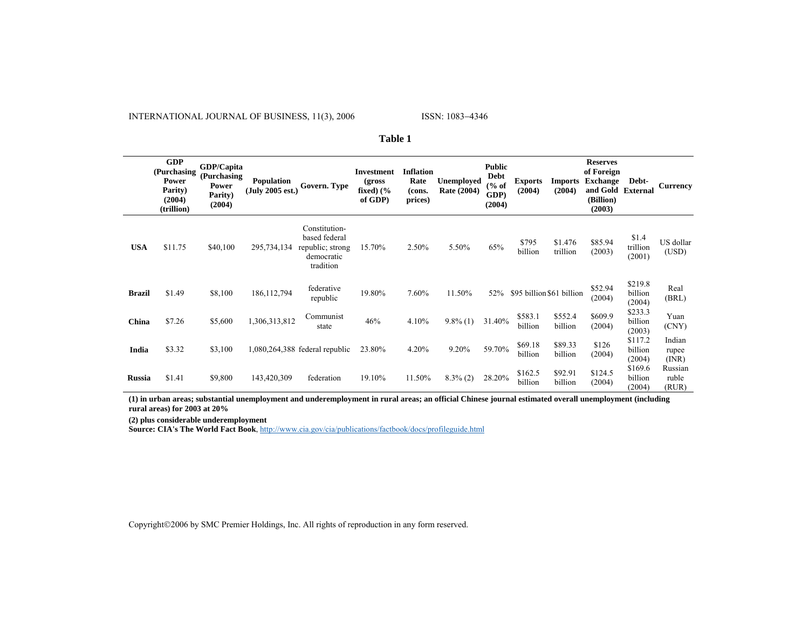INTERNATIONAL JOURNAL OF BUSINESS, 11(3), 2006

|               | <b>GDP</b><br>(Purchasing<br>Power<br>Parity)<br>(2004)<br>(trillion) | GDP/Capita<br>(Purchasing<br>Power<br>Parity)<br>(2004) | Population<br>(July 2005 est.) | Govern. Type                                                                  | <b>Investment</b><br>(gross)<br>fixed) $(\%$<br>of GDP) | <b>Inflation</b><br>Rate<br>(cons.<br>prices) | <b>Unemployed</b><br>Rate (2004) | <b>Public</b><br><b>Debt</b><br>% of<br>GDP)<br>(2004) | <b>Exports</b><br>(2004)  | <b>Imports</b><br>(2004) | <b>Reserves</b><br>of Foreign<br><b>Exchange</b><br>and Gold<br>(Billion)<br>(2003) | Debt-<br>External            | <b>Currency</b>           |
|---------------|-----------------------------------------------------------------------|---------------------------------------------------------|--------------------------------|-------------------------------------------------------------------------------|---------------------------------------------------------|-----------------------------------------------|----------------------------------|--------------------------------------------------------|---------------------------|--------------------------|-------------------------------------------------------------------------------------|------------------------------|---------------------------|
| <b>USA</b>    | \$11.75                                                               | \$40,100                                                | 295,734,134                    | Constitution-<br>based federal<br>republic; strong<br>democratic<br>tradition | 15.70%                                                  | 2.50%                                         | 5.50%                            | 65%                                                    | \$795<br>billion          | \$1.476<br>trillion      | \$85.94<br>(2003)                                                                   | \$1.4<br>trillion<br>(2001)  | US dollar<br>(USD)        |
| <b>Brazil</b> | \$1.49                                                                | \$8,100                                                 | 186, 112, 794                  | federative<br>republic                                                        | 19.80%                                                  | 7.60%                                         | 11.50%                           | 52%                                                    | \$95 billion \$61 billion |                          | \$52.94<br>(2004)                                                                   | \$219.8<br>billion<br>(2004) | Real<br>(BRL)             |
| China         | \$7.26                                                                | \$5,600                                                 | 1,306,313,812                  | Communist<br>state                                                            | 46%                                                     | 4.10%                                         | $9.8\%$ (1)                      | 31.40%                                                 | \$583.1<br>billion        | \$552.4<br>billion       | \$609.9<br>(2004)                                                                   | \$233.3<br>billion<br>(2003) | Yuan<br>(CNY)             |
| India         | \$3.32                                                                | \$3,100                                                 |                                | $1,080,264,388$ federal republic                                              | 23.80%                                                  | 4.20%                                         | 9.20%                            | 59.70%                                                 | \$69.18<br>billion        | \$89.33<br>billion       | \$126<br>(2004)                                                                     | \$117.2<br>billion<br>(2004) | Indian<br>rupee<br>(INR)  |
| <b>Russia</b> | \$1.41                                                                | \$9,800                                                 | 143,420,309                    | federation                                                                    | 19.10%                                                  | 11.50%                                        | $8.3\%$ (2)                      | 28.20%                                                 | \$162.5<br>billion        | \$92.91<br>billion       | \$124.5<br>(2004)                                                                   | \$169.6<br>billion<br>(2004) | Russian<br>ruble<br>(RUR) |

#### **Table 1**

**(1) in urban areas; substantial unemployment and underemployment in rural areas; an official Chinese journal estimated overall unemployment (including rural areas) for 2003 at 20%**

**(2) plus considerable underemployment** 

**Source: CIA's The World Fact Book**, [http://www.cia.gov/cia/publications/factbook/docs/profileguide.html](https://webmail.sas.upenn.edu/horde/util/go.php?url=http%3A%2F%2Fwww.cia.gov%2Fcia%2Fpublications%2Ffactbook%2Fdocs%2Fprofileguide.html&Horde=f5c9f2d375f1d6c1455eb9d7573f5121)

Copyright©2006 by SMC Premier Holdings, Inc. All rights of reproduction in any form reserved.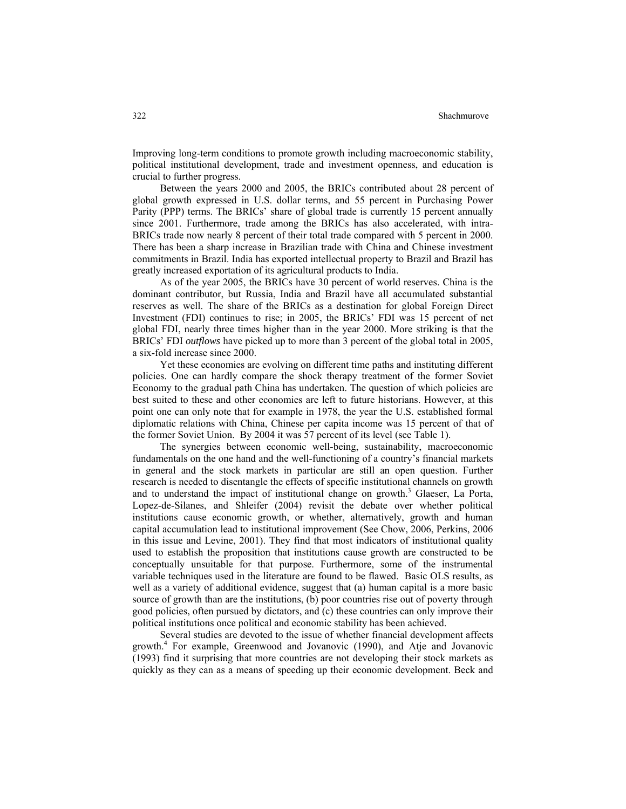Improving long-term conditions to promote growth including macroeconomic stability, political institutional development, trade and investment openness, and education is crucial to further progress.

Between the years 2000 and 2005, the BRICs contributed about 28 percent of global growth expressed in U.S. dollar terms, and 55 percent in Purchasing Power Parity (PPP) terms. The BRICs' share of global trade is currently 15 percent annually since 2001. Furthermore, trade among the BRICs has also accelerated, with intra-BRICs trade now nearly 8 percent of their total trade compared with 5 percent in 2000. There has been a sharp increase in Brazilian trade with China and Chinese investment commitments in Brazil. India has exported intellectual property to Brazil and Brazil has greatly increased exportation of its agricultural products to India.

As of the year 2005, the BRICs have 30 percent of world reserves. China is the dominant contributor, but Russia, India and Brazil have all accumulated substantial reserves as well. The share of the BRICs as a destination for global Foreign Direct Investment (FDI) continues to rise; in 2005, the BRICs' FDI was 15 percent of net global FDI, nearly three times higher than in the year 2000. More striking is that the BRICs' FDI *outflows* have picked up to more than 3 percent of the global total in 2005, a six-fold increase since 2000.

Yet these economies are evolving on different time paths and instituting different policies. One can hardly compare the shock therapy treatment of the former Soviet Economy to the gradual path China has undertaken. The question of which policies are best suited to these and other economies are left to future historians. However, at this point one can only note that for example in 1978, the year the U.S. established formal diplomatic relations with China, Chinese per capita income was 15 percent of that of the former Soviet Union. By 2004 it was 57 percent of its level (see Table 1).

The synergies between economic well-being, sustainability, macroeconomic fundamentals on the one hand and the well-functioning of a country's financial markets in general and the stock markets in particular are still an open question. Further research is needed to disentangle the effects of specific institutional channels on growth and to understand the impact of institutional change on growth. 3 Glaeser, La Porta, Lopez-de-Silanes, and Shleifer (2004) revisit the debate over whether political institutions cause economic growth, or whether, alternatively, growth and human capital accumulation lead to institutional improvement (See Chow, 2006, Perkins, 2006 in this issue and Levine, 2001). They find that most indicators of institutional quality used to establish the proposition that institutions cause growth are constructed to be conceptually unsuitable for that purpose. Furthermore, some of the instrumental variable techniques used in the literature are found to be flawed. Basic OLS results, as well as a variety of additional evidence, suggest that (a) human capital is a more basic source of growth than are the institutions, (b) poor countries rise out of poverty through good policies, often pursued by dictators, and (c) these countries can only improve their political institutions once political and economic stability has been achieved.

Several studies are devoted to the issue of whether financial development affects growth. 4 For example, Greenwood and Jovanovic (1990), and Atje and Jovanovic (1993) find it surprising that more countries are not developing their stock markets as quickly as they can as a means of speeding up their economic development. Beck and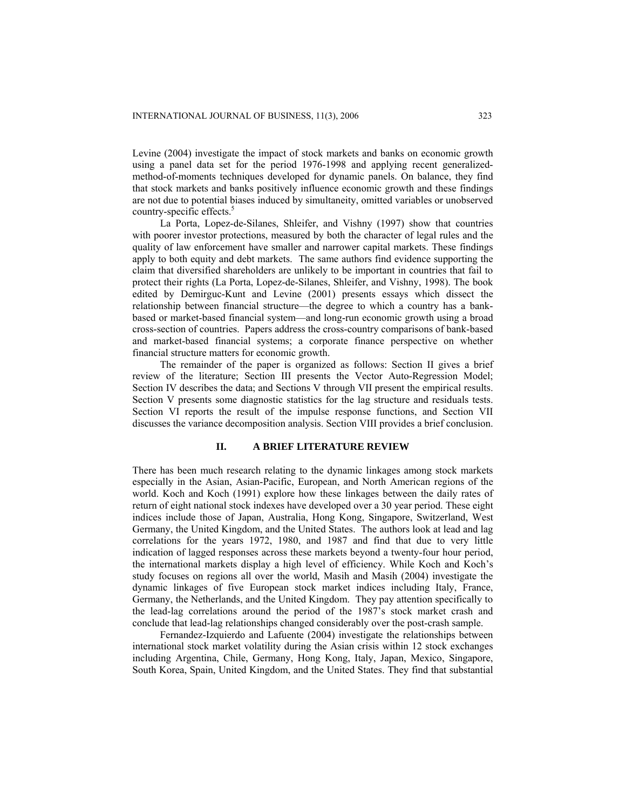Levine (2004) investigate the impact of stock markets and banks on economic growth using a panel data set for the period 1976-1998 and applying recent generalizedmethod-of-moments techniques developed for dynamic panels. On balance, they find that stock markets and banks positively influence economic growth and these findings are not due to potential biases induced by simultaneity, omitted variables or unobserved country-specific effects. 5

La Porta, Lopez-de-Silanes, Shleifer, and Vishny (1997) show that countries with poorer investor protections, measured by both the character of legal rules and the quality of law enforcement have smaller and narrower capital markets. These findings apply to both equity and debt markets. The same authors find evidence supporting the claim that diversified shareholders are unlikely to be important in countries that fail to protect their rights (La Porta, Lopez-de-Silanes, Shleifer, and Vishny, 1998). The book edited by Demirguc-Kunt and Levine (2001) presents essays which dissect the relationship between financial structure—the degree to which a country has a bankbased or market-based financial system—and long-run economic growth using a broad cross-section of countries. Papers address the cross-country comparisons of bank-based and market-based financial systems; a corporate finance perspective on whether financial structure matters for economic growth.

The remainder of the paper is organized as follows: Section II gives a brief review of the literature; Section III presents the Vector Auto-Regression Model; Section IV describes the data; and Sections V through VII present the empirical results. Section V presents some diagnostic statistics for the lag structure and residuals tests. Section VI reports the result of the impulse response functions, and Section VII discusses the variance decomposition analysis. Section VIII provides a brief conclusion.

## **II. A BRIEF LITERATURE REVIEW**

There has been much research relating to the dynamic linkages among stock markets especially in the Asian, Asian-Pacific, European, and North American regions of the world. Koch and Koch (1991) explore how these linkages between the daily rates of return of eight national stock indexes have developed over a 30 year period. These eight indices include those of Japan, Australia, Hong Kong, Singapore, Switzerland, West Germany, the United Kingdom, and the United States. The authors look at lead and lag correlations for the years 1972, 1980, and 1987 and find that due to very little indication of lagged responses across these markets beyond a twenty-four hour period, the international markets display a high level of efficiency. While Koch and Koch's study focuses on regions all over the world, Masih and Masih (2004) investigate the dynamic linkages of five European stock market indices including Italy, France, Germany, the Netherlands, and the United Kingdom. They pay attention specifically to the lead-lag correlations around the period of the 1987's stock market crash and conclude that lead-lag relationships changed considerably over the post-crash sample.

Fernandez-Izquierdo and Lafuente (2004) investigate the relationships between international stock market volatility during the Asian crisis within 12 stock exchanges including Argentina, Chile, Germany, Hong Kong, Italy, Japan, Mexico, Singapore, South Korea, Spain, United Kingdom, and the United States. They find that substantial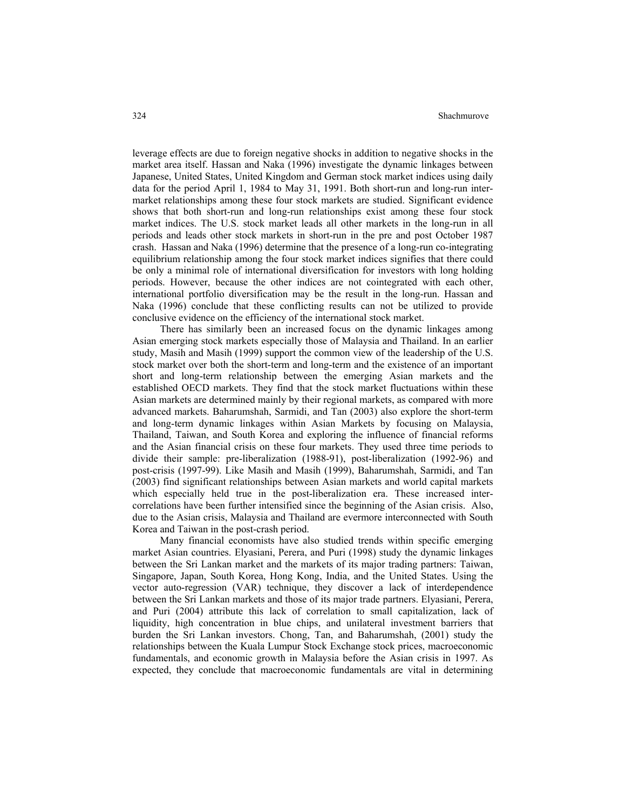leverage effects are due to foreign negative shocks in addition to negative shocks in the market area itself. Hassan and Naka (1996) investigate the dynamic linkages between Japanese, United States, United Kingdom and German stock market indices using daily data for the period April 1, 1984 to May 31, 1991. Both short-run and long-run intermarket relationships among these four stock markets are studied. Significant evidence shows that both short-run and long-run relationships exist among these four stock market indices. The U.S. stock market leads all other markets in the long-run in all periods and leads other stock markets in short-run in the pre and post October 1987 crash. Hassan and Naka (1996) determine that the presence of a long-run co-integrating equilibrium relationship among the four stock market indices signifies that there could be only a minimal role of international diversification for investors with long holding periods. However, because the other indices are not cointegrated with each other, international portfolio diversification may be the result in the long-run. Hassan and Naka (1996) conclude that these conflicting results can not be utilized to provide conclusive evidence on the efficiency of the international stock market.

There has similarly been an increased focus on the dynamic linkages among Asian emerging stock markets especially those of Malaysia and Thailand. In an earlier study, Masih and Masih (1999) support the common view of the leadership of the U.S. stock market over both the short-term and long-term and the existence of an important short and long-term relationship between the emerging Asian markets and the established OECD markets. They find that the stock market fluctuations within these Asian markets are determined mainly by their regional markets, as compared with more advanced markets. Baharumshah, Sarmidi, and Tan (2003) also explore the short-term and long-term dynamic linkages within Asian Markets by focusing on Malaysia, Thailand, Taiwan, and South Korea and exploring the influence of financial reforms and the Asian financial crisis on these four markets. They used three time periods to divide their sample: pre-liberalization (1988-91), post-liberalization (1992-96) and post-crisis (1997-99). Like Masih and Masih (1999), Baharumshah, Sarmidi, and Tan (2003) find significant relationships between Asian markets and world capital markets which especially held true in the post-liberalization era. These increased intercorrelations have been further intensified since the beginning of the Asian crisis. Also, due to the Asian crisis, Malaysia and Thailand are evermore interconnected with South Korea and Taiwan in the post-crash period.

Many financial economists have also studied trends within specific emerging market Asian countries. Elyasiani, Perera, and Puri (1998) study the dynamic linkages between the Sri Lankan market and the markets of its major trading partners: Taiwan, Singapore, Japan, South Korea, Hong Kong, India, and the United States. Using the vector auto-regression (VAR) technique, they discover a lack of interdependence between the Sri Lankan markets and those of its major trade partners. Elyasiani, Perera, and Puri (2004) attribute this lack of correlation to small capitalization, lack of liquidity, high concentration in blue chips, and unilateral investment barriers that burden the Sri Lankan investors. Chong, Tan, and Baharumshah, (2001) study the relationships between the Kuala Lumpur Stock Exchange stock prices, macroeconomic fundamentals, and economic growth in Malaysia before the Asian crisis in 1997. As expected, they conclude that macroeconomic fundamentals are vital in determining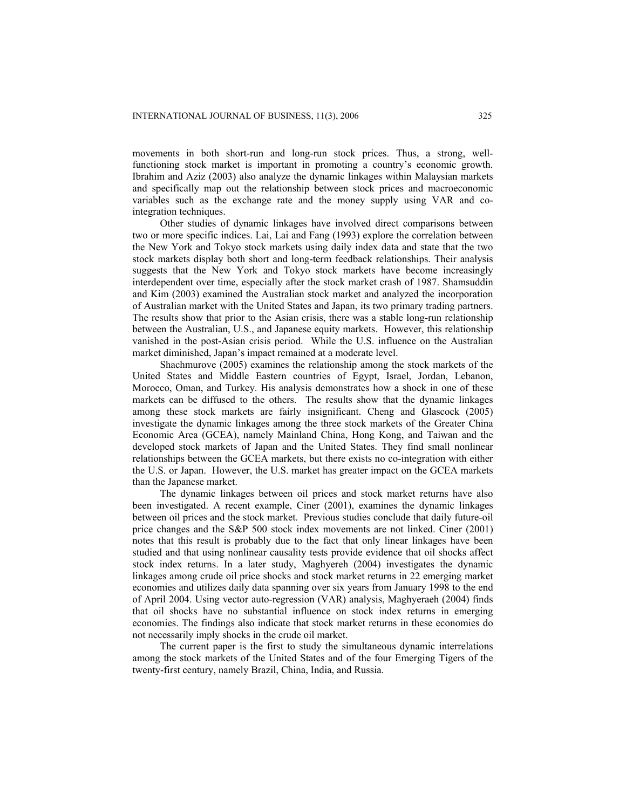movements in both short-run and long-run stock prices. Thus, a strong, wellfunctioning stock market is important in promoting a country's economic growth. Ibrahim and Aziz (2003) also analyze the dynamic linkages within Malaysian markets and specifically map out the relationship between stock prices and macroeconomic variables such as the exchange rate and the money supply using VAR and cointegration techniques.

Other studies of dynamic linkages have involved direct comparisons between two or more specific indices. Lai, Lai and Fang (1993) explore the correlation between the New York and Tokyo stock markets using daily index data and state that the two stock markets display both short and long-term feedback relationships. Their analysis suggests that the New York and Tokyo stock markets have become increasingly interdependent over time, especially after the stock market crash of 1987. Shamsuddin and Kim (2003) examined the Australian stock market and analyzed the incorporation of Australian market with the United States and Japan, its two primary trading partners. The results show that prior to the Asian crisis, there was a stable long-run relationship between the Australian, U.S., and Japanese equity markets. However, this relationship vanished in the post-Asian crisis period. While the U.S. influence on the Australian market diminished, Japan's impact remained at a moderate level.

Shachmurove (2005) examines the relationship among the stock markets of the United States and Middle Eastern countries of Egypt, Israel, Jordan, Lebanon, Morocco, Oman, and Turkey. His analysis demonstrates how a shock in one of these markets can be diffused to the others. The results show that the dynamic linkages among these stock markets are fairly insignificant. Cheng and Glascock (2005) investigate the dynamic linkages among the three stock markets of the Greater China Economic Area (GCEA), namely Mainland China, Hong Kong, and Taiwan and the developed stock markets of Japan and the United States. They find small nonlinear relationships between the GCEA markets, but there exists no co-integration with either the U.S. or Japan. However, the U.S. market has greater impact on the GCEA markets than the Japanese market.

The dynamic linkages between oil prices and stock market returns have also been investigated. A recent example, Ciner (2001), examines the dynamic linkages between oil prices and the stock market. Previous studies conclude that daily future-oil price changes and the S&P 500 stock index movements are not linked. Ciner (2001) notes that this result is probably due to the fact that only linear linkages have been studied and that using nonlinear causality tests provide evidence that oil shocks affect stock index returns. In a later study, Maghyereh (2004) investigates the dynamic linkages among crude oil price shocks and stock market returns in 22 emerging market economies and utilizes daily data spanning over six years from January 1998 to the end of April 2004. Using vector auto-regression (VAR) analysis, Maghyeraeh (2004) finds that oil shocks have no substantial influence on stock index returns in emerging economies. The findings also indicate that stock market returns in these economies do not necessarily imply shocks in the crude oil market.

The current paper is the first to study the simultaneous dynamic interrelations among the stock markets of the United States and of the four Emerging Tigers of the twenty-first century, namely Brazil, China, India, and Russia.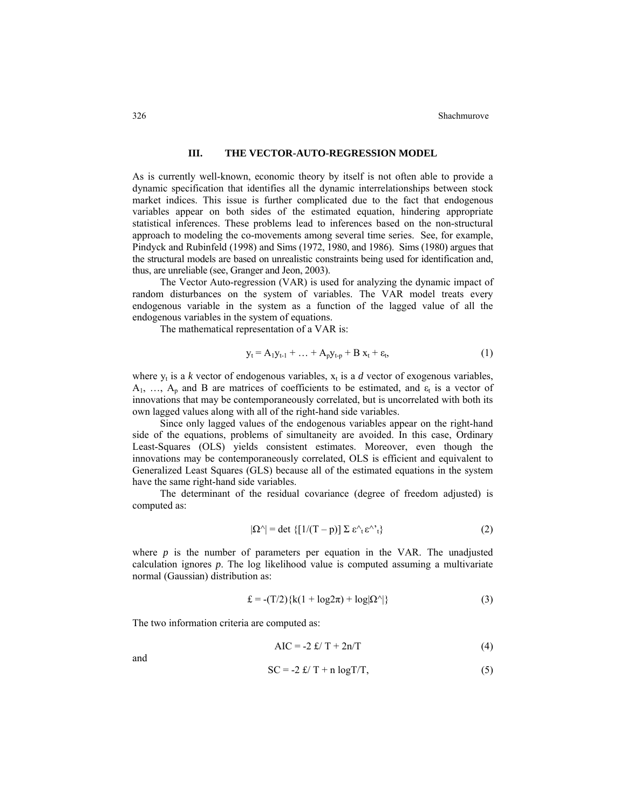# **III. THE VECTOR-AUTO-REGRESSION MODEL**

As is currently well-known, economic theory by itself is not often able to provide a dynamic specification that identifies all the dynamic interrelationships between stock market indices. This issue is further complicated due to the fact that endogenous variables appear on both sides of the estimated equation, hindering appropriate statistical inferences. These problems lead to inferences based on the non-structural approach to modeling the co-movements among several time series. See, for example, Pindyck and Rubinfeld (1998) and Sims (1972, 1980, and 1986). Sims (1980) argues that the structural models are based on unrealistic constraints being used for identification and, thus, are unreliable (see, Granger and Jeon, 2003).

The Vector Auto-regression (VAR) is used for analyzing the dynamic impact of random disturbances on the system of variables. The VAR model treats every endogenous variable in the system as a function of the lagged value of all the endogenous variables in the system of equations.

The mathematical representation of a VAR is:

$$
y_t = A_1 y_{t-1} + \dots + A_p y_{t-p} + B x_t + \varepsilon_t, \tag{1}
$$

where  $y_t$  is a *k* vector of endogenous variables,  $x_t$  is a *d* vector of exogenous variables,  $A_1, \ldots, A_p$  and B are matrices of coefficients to be estimated, and  $\varepsilon_t$  is a vector of innovations that may be contemporaneously correlated, but is uncorrelated with both its own lagged values along with all of the right-hand side variables.

Since only lagged values of the endogenous variables appear on the right-hand side of the equations, problems of simultaneity are avoided. In this case, Ordinary Least-Squares (OLS) yields consistent estimates. Moreover, even though the innovations may be contemporaneously correlated, OLS is efficient and equivalent to Generalized Least Squares (GLS) because all of the estimated equations in the system have the same right-hand side variables.

The determinant of the residual covariance (degree of freedom adjusted) is computed as:

$$
|\Omega^{\wedge}| = \det \{ [1/(T - p)] \Sigma \varepsilon^{\wedge} \varepsilon^{\wedge}{}_{t} \}
$$
 (2)

where  $p$  is the number of parameters per equation in the VAR. The unadjusted calculation ignores *p*. The log likelihood value is computed assuming a multivariate normal (Gaussian) distribution as:

$$
\pounds = -(T/2)\{k(1 + \log 2\pi) + \log |\Omega^{\wedge}|\}\tag{3}
$$

The two information criteria are computed as:

$$
AIC = -2 \pounds / T + 2n/T \tag{4}
$$

and

$$
SC = -2 \frac{f}{T} + n \log T/T,
$$
\n(5)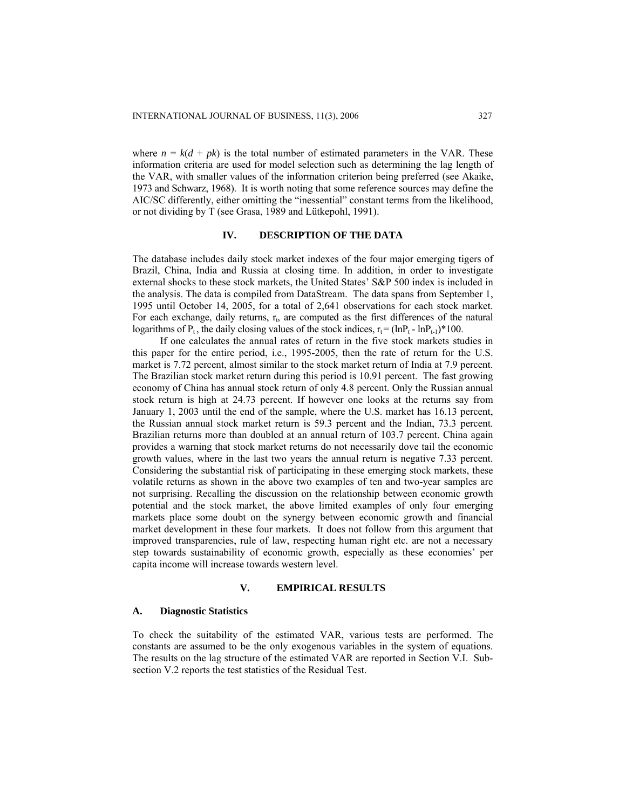where  $n = k(d + pk)$  is the total number of estimated parameters in the VAR. These information criteria are used for model selection such as determining the lag length of the VAR, with smaller values of the information criterion being preferred (see Akaike, 1973 and Schwarz, 1968). It is worth noting that some reference sources may define the AIC/SC differently, either omitting the "inessential" constant terms from the likelihood, or not dividing by T (see Grasa, 1989 and Lütkepohl, 1991).

# **IV. DESCRIPTION OF THE DATA**

The database includes daily stock market indexes of the four major emerging tigers of Brazil, China, India and Russia at closing time. In addition, in order to investigate external shocks to these stock markets, the United States' S&P 500 index is included in the analysis. The data is compiled from DataStream. The data spans from September 1, 1995 until October 14, 2005, for a total of 2,641 observations for each stock market. For each exchange, daily returns,  $r<sub>1</sub>$ , are computed as the first differences of the natural logarithms of  $P_t$ , the daily closing values of the stock indices,  $r_t = (\ln P_t - \ln P_{t-1}) * 100$ .

If one calculates the annual rates of return in the five stock markets studies in this paper for the entire period, i.e., 1995-2005, then the rate of return for the U.S. market is 7.72 percent, almost similar to the stock market return of India at 7.9 percent. The Brazilian stock market return during this period is 10.91 percent. The fast growing economy of China has annual stock return of only 4.8 percent. Only the Russian annual stock return is high at 24.73 percent. If however one looks at the returns say from January 1, 2003 until the end of the sample, where the U.S. market has 16.13 percent, the Russian annual stock market return is 59.3 percent and the Indian, 73.3 percent. Brazilian returns more than doubled at an annual return of 103.7 percent. China again provides a warning that stock market returns do not necessarily dove tail the economic growth values, where in the last two years the annual return is negative 7.33 percent. Considering the substantial risk of participating in these emerging stock markets, these volatile returns as shown in the above two examples of ten and two-year samples are not surprising. Recalling the discussion on the relationship between economic growth potential and the stock market, the above limited examples of only four emerging markets place some doubt on the synergy between economic growth and financial market development in these four markets. It does not follow from this argument that improved transparencies, rule of law, respecting human right etc. are not a necessary step towards sustainability of economic growth, especially as these economies' per capita income will increase towards western level.

#### **V. EMPIRICAL RESULTS**

#### **A. Diagnostic Statistics**

To check the suitability of the estimated VAR, various tests are performed. The constants are assumed to be the only exogenous variables in the system of equations. The results on the lag structure of the estimated VAR are reported in Section V.I. Subsection V.2 reports the test statistics of the Residual Test.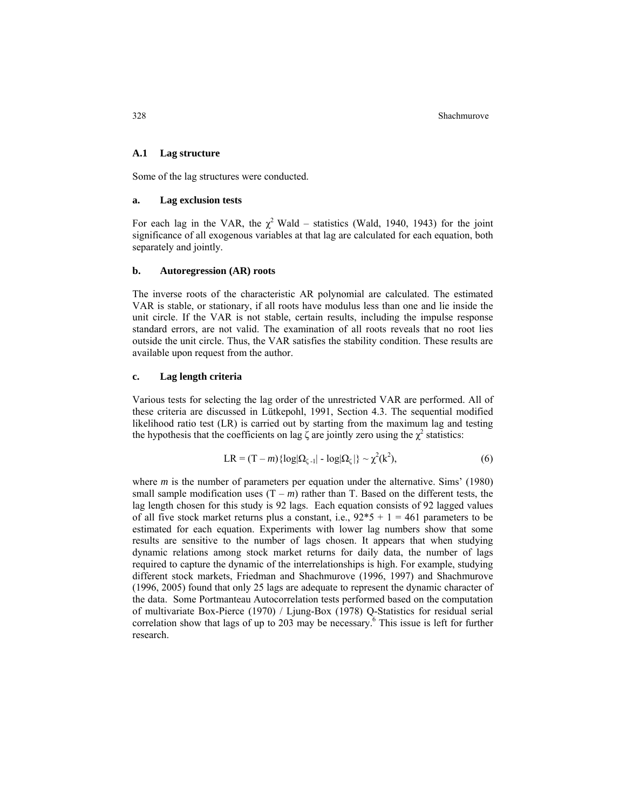328 Shachmurove

#### **A.1 Lag structure**

Some of the lag structures were conducted.

## **a. Lag exclusion tests**

For each lag in the VAR, the  $\chi^2$  Wald – statistics (Wald, 1940, 1943) for the joint significance of all exogenous variables at that lag are calculated for each equation, both separately and jointly.

#### **b. Autoregression (AR) roots**

The inverse roots of the characteristic AR polynomial are calculated. The estimated VAR is stable, or stationary, if all roots have modulus less than one and lie inside the unit circle. If the VAR is not stable, certain results, including the impulse response standard errors, are not valid. The examination of all roots reveals that no root lies outside the unit circle. Thus, the VAR satisfies the stability condition. These results are available upon request from the author.

#### **c. Lag length criteria**

Various tests for selecting the lag order of the unrestricted VAR are performed. All of these criteria are discussed in Lütkepohl, 1991, Section 4.3. The sequential modified likelihood ratio test (LR) is carried out by starting from the maximum lag and testing the hypothesis that the coefficients on lag  $\zeta$  are jointly zero using the  $\chi^2$  statistics:

$$
LR = (T - m) \{ \log |\Omega_{\zeta - 1}| - \log |\Omega_{\zeta}| \} \sim \chi^2(k^2), \tag{6}
$$

where *m* is the number of parameters per equation under the alternative. Sims' (1980) small sample modification uses  $(T - m)$  rather than T. Based on the different tests, the lag length chosen for this study is 92 lags. Each equation consists of 92 lagged values of all five stock market returns plus a constant, i.e.,  $92*5 + 1 = 461$  parameters to be estimated for each equation. Experiments with lower lag numbers show that some results are sensitive to the number of lags chosen. It appears that when studying dynamic relations among stock market returns for daily data, the number of lags required to capture the dynamic of the interrelationships is high. For example, studying different stock markets, Friedman and Shachmurove (1996, 1997) and Shachmurove (1996, 2005) found that only 25 lags are adequate to represent the dynamic character of the data. Some Portmanteau Autocorrelation tests performed based on the computation of multivariate Box-Pierce (1970) / Ljung-Box (1978) Q-Statistics for residual serial correlation show that lags of up to 203 may be necessary. 6 This issue is left for further research.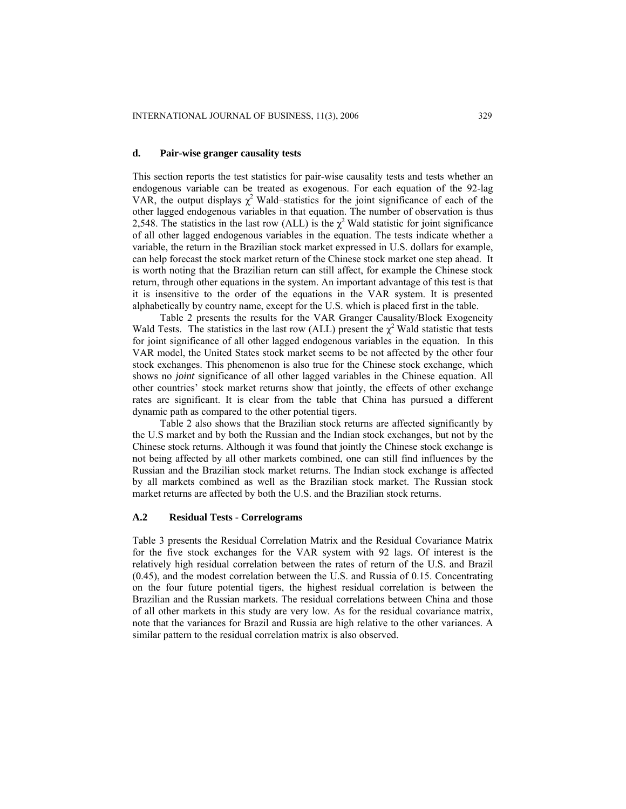#### **d. Pair-wise granger causality tests**

This section reports the test statistics for pair-wise causality tests and tests whether an endogenous variable can be treated as exogenous. For each equation of the 92-lag VAR, the output displays  $\chi^2$  Wald–statistics for the joint significance of each of the other lagged endogenous variables in that equation. The number of observation is thus 2,548. The statistics in the last row (ALL) is the  $\chi^2$  Wald statistic for joint significance of all other lagged endogenous variables in the equation. The tests indicate whether a variable, the return in the Brazilian stock market expressed in U.S. dollars for example, can help forecast the stock market return of the Chinese stock market one step ahead. It is worth noting that the Brazilian return can still affect, for example the Chinese stock return, through other equations in the system. An important advantage of this test is that it is insensitive to the order of the equations in the VAR system. It is presented alphabetically by country name, except for the U.S. which is placed first in the table.

Table 2 presents the results for the VAR Granger Causality/Block Exogeneity Wald Tests. The statistics in the last row (ALL) present the  $\chi^2$  Wald statistic that tests for joint significance of all other lagged endogenous variables in the equation. In this VAR model, the United States stock market seems to be not affected by the other four stock exchanges. This phenomenon is also true for the Chinese stock exchange, which shows no *joint* significance of all other lagged variables in the Chinese equation. All other countries' stock market returns show that jointly, the effects of other exchange rates are significant. It is clear from the table that China has pursued a different dynamic path as compared to the other potential tigers.

Table 2 also shows that the Brazilian stock returns are affected significantly by the U.S market and by both the Russian and the Indian stock exchanges, but not by the Chinese stock returns. Although it was found that jointly the Chinese stock exchange is not being affected by all other markets combined, one can still find influences by the Russian and the Brazilian stock market returns. The Indian stock exchange is affected by all markets combined as well as the Brazilian stock market. The Russian stock market returns are affected by both the U.S. and the Brazilian stock returns.

#### **A.2 Residual Tests - Correlograms**

Table 3 presents the Residual Correlation Matrix and the Residual Covariance Matrix for the five stock exchanges for the VAR system with 92 lags. Of interest is the relatively high residual correlation between the rates of return of the U.S. and Brazil (0.45), and the modest correlation between the U.S. and Russia of 0.15. Concentrating on the four future potential tigers, the highest residual correlation is between the Brazilian and the Russian markets. The residual correlations between China and those of all other markets in this study are very low. As for the residual covariance matrix, note that the variances for Brazil and Russia are high relative to the other variances. A similar pattern to the residual correlation matrix is also observed.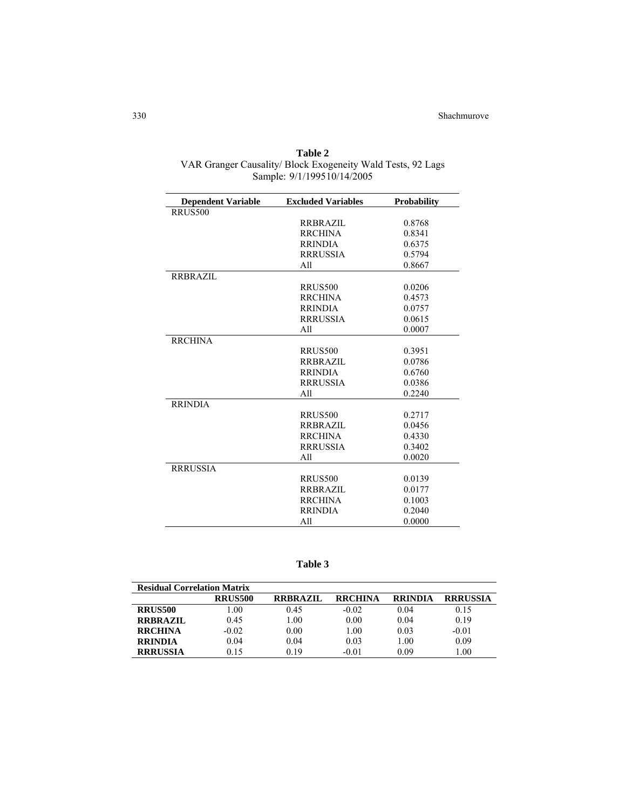| <b>Dependent Variable</b> | <b>Excluded Variables</b> | <b>Probability</b> |
|---------------------------|---------------------------|--------------------|
| RRUS500                   |                           |                    |
|                           | <b>RRBRAZIL</b>           | 0.8768             |
|                           | <b>RRCHINA</b>            | 0.8341             |
|                           | <b>RRINDIA</b>            | 0.6375             |
|                           | <b>RRRUSSIA</b>           | 0.5794             |
|                           | A11                       | 0.8667             |
| <b>RRBRAZIL</b>           |                           |                    |
|                           | <b>RRUS500</b>            | 0.0206             |
|                           | <b>RRCHINA</b>            | 0.4573             |
|                           | <b>RRINDIA</b>            | 0.0757             |
|                           | <b>RRRUSSIA</b>           | 0.0615             |
|                           | A11                       | 0.0007             |
| <b>RRCHINA</b>            |                           |                    |
|                           | <b>RRUS500</b>            | 0.3951             |
|                           | <b>RRBRAZIL</b>           | 0.0786             |
|                           | <b>RRINDIA</b>            | 0.6760             |
|                           | <b>RRRUSSIA</b>           | 0.0386             |
|                           | A11                       | 0.2240             |
| <b>RRINDIA</b>            |                           |                    |
|                           | RRUS500                   | 0.2717             |
|                           | <b>RRBRAZIL</b>           | 0.0456             |
|                           | <b>RRCHINA</b>            | 0.4330             |
|                           | <b>RRRUSSIA</b>           | 0.3402             |
|                           | A11                       | 0.0020             |
| <b>RRRUSSIA</b>           |                           |                    |
|                           | RRUS500                   | 0.0139             |
|                           | <b>RRBRAZIL</b>           | 0.0177             |
|                           | <b>RRCHINA</b>            | 0.1003             |
|                           | <b>RRINDIA</b>            | 0.2040             |
|                           | A11                       | 0.0000             |

**Table 2** VAR Granger Causality/ Block Exogeneity Wald Tests, 92 Lags Sample: 9/1/199510/14/2005

**Table 3**

|                 | RRUS500 | <b>RRBRAZIL</b> | <b>RRCHINA</b> | <b>RRINDIA</b> | <b>RRRUSSIA</b> |
|-----------------|---------|-----------------|----------------|----------------|-----------------|
| RRUS500         | 1.00    | 0.45            | $-0.02$        | 0.04           | 0.15            |
| <b>RRBRAZIL</b> | 0.45    | $1.00\,$        | 0.00           | 0.04           | 0.19            |
| <b>RRCHINA</b>  | $-0.02$ | 0.00            | 1.00           | 0.03           | $-0.01$         |
| <b>RRINDIA</b>  | 0.04    | 0.04            | 0.03           | 1.00           | 0.09            |
| <b>RRRUSSIA</b> | 0.15    | 0.19            | $-0.01$        | 0.09           | 0.00            |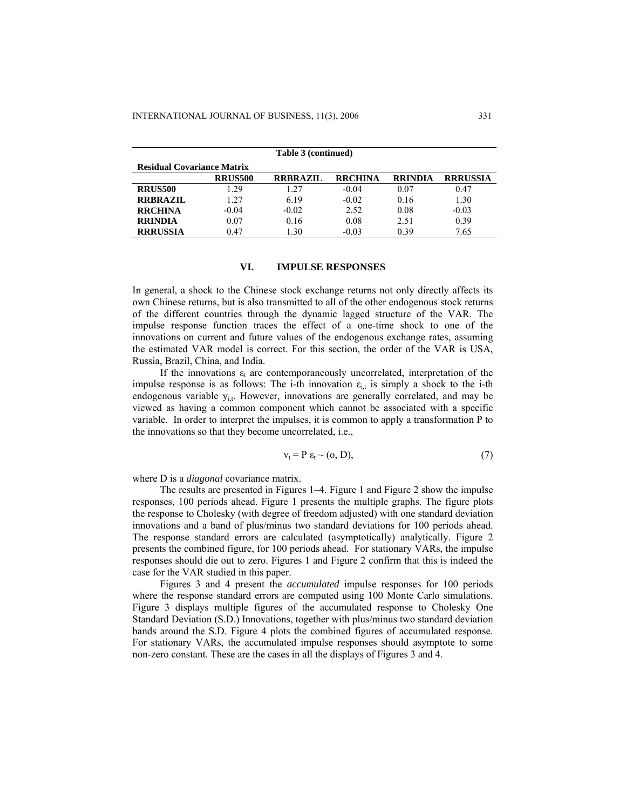| Table 3 (continued)               |                |                 |                |                |                 |  |  |  |  |  |
|-----------------------------------|----------------|-----------------|----------------|----------------|-----------------|--|--|--|--|--|
| <b>Residual Covariance Matrix</b> |                |                 |                |                |                 |  |  |  |  |  |
|                                   | <b>RRUS500</b> | <b>RRBRAZIL</b> | <b>RRCHINA</b> | <b>RRINDIA</b> | <b>RRRUSSIA</b> |  |  |  |  |  |
| <b>RRUS500</b>                    | 1.29           | 1.27            | $-0.04$        | 0.07           | 0.47            |  |  |  |  |  |
| <b>RRBRAZIL</b>                   | 127            | 6.19            | $-0.02$        | 0.16           | 1.30            |  |  |  |  |  |
| <b>RRCHINA</b>                    | $-0.04$        | $-0.02$         | 2.52           | 0.08           | $-0.03$         |  |  |  |  |  |
| <b>RRINDIA</b>                    | 0.07           | 0.16            | 0.08           | 2.51           | 0.39            |  |  |  |  |  |
| <b>RRRUSSIA</b>                   | 0.47           | 1.30            | $-0.03$        | 0.39           | 7.65            |  |  |  |  |  |

#### **VI. IMPULSE RESPONSES**

In general, a shock to the Chinese stock exchange returns not only directly affects its own Chinese returns, but is also transmitted to all of the other endogenous stock returns of the different countries through the dynamic lagged structure of the VAR. The impulse response function traces the effect of a one-time shock to one of the innovations on current and future values of the endogenous exchange rates, assuming the estimated VAR model is correct. For this section, the order of the VAR is USA, Russia, Brazil, China, and India.

If the innovations  $\varepsilon_t$  are contemporaneously uncorrelated, interpretation of the impulse response is as follows: The i-th innovation  $\varepsilon_{i,t}$  is simply a shock to the i-th endogenous variable  $y_{i,t}$ . However, innovations are generally correlated, and may be viewed as having a common component which cannot be associated with a specific variable. In order to interpret the impulses, it is common to apply a transformation P to the innovations so that they become uncorrelated, i.e.,

$$
v_t = P \varepsilon_t \sim (0, D), \tag{7}
$$

where D is a *diagonal* covariance matrix.

The results are presented in Figures 1–4. Figure 1 and Figure 2 show the impulse responses, 100 periods ahead. Figure 1 presents the multiple graphs. The figure plots the response to Cholesky (with degree of freedom adjusted) with one standard deviation innovations and a band of plus/minus two standard deviations for 100 periods ahead. The response standard errors are calculated (asymptotically) analytically. Figure 2 presents the combined figure, for 100 periods ahead. For stationary VARs, the impulse responses should die out to zero. Figures 1 and Figure 2 confirm that this is indeed the case for the VAR studied in this paper.

Figures 3 and 4 present the *accumulated* impulse responses for 100 periods where the response standard errors are computed using 100 Monte Carlo simulations. Figure 3 displays multiple figures of the accumulated response to Cholesky One Standard Deviation (S.D.) Innovations, together with plus/minus two standard deviation bands around the S.D. Figure 4 plots the combined figures of accumulated response. For stationary VARs, the accumulated impulse responses should asymptote to some non-zero constant. These are the cases in all the displays of Figures 3 and 4.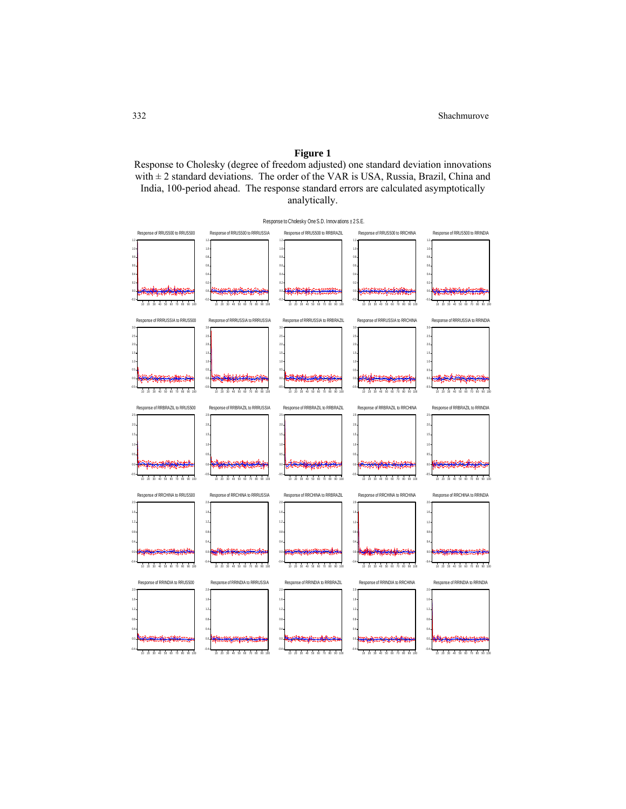# **Figure 1**

Response to Cholesky (degree of freedom adjusted) one standard deviation innovations with  $\pm$  2 standard deviations. The order of the VAR is USA, Russia, Brazil, China and India, 100-period ahead. The response standard errors are calculated asymptotically analytically.

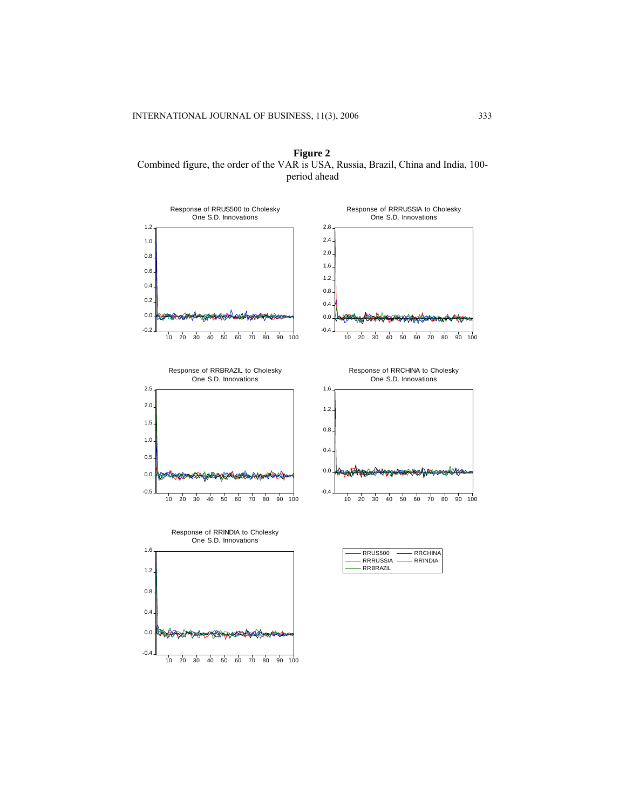**Figure 2**  Combined figure, the order of the VAR is USA, Russia, Brazil, China and India, 100 period ahead







Response of RRCHINA to Cholesky



| <b>RRUS500</b>  | <b>RRCHINA</b> |
|-----------------|----------------|
| <b>RRRUSSIA</b> | RRINDIA        |
| RRBRAZIL        |                |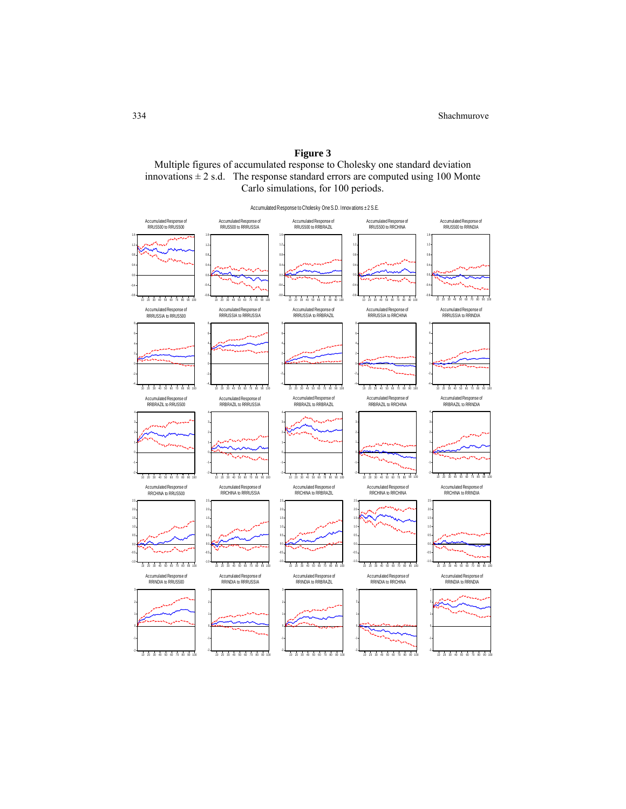# **Figure 3**

Multiple figures of accumulated response to Cholesky one standard deviation innovations  $\pm 2$  s.d. The response standard errors are computed using 100 Monte Carlo simulations, for 100 periods.

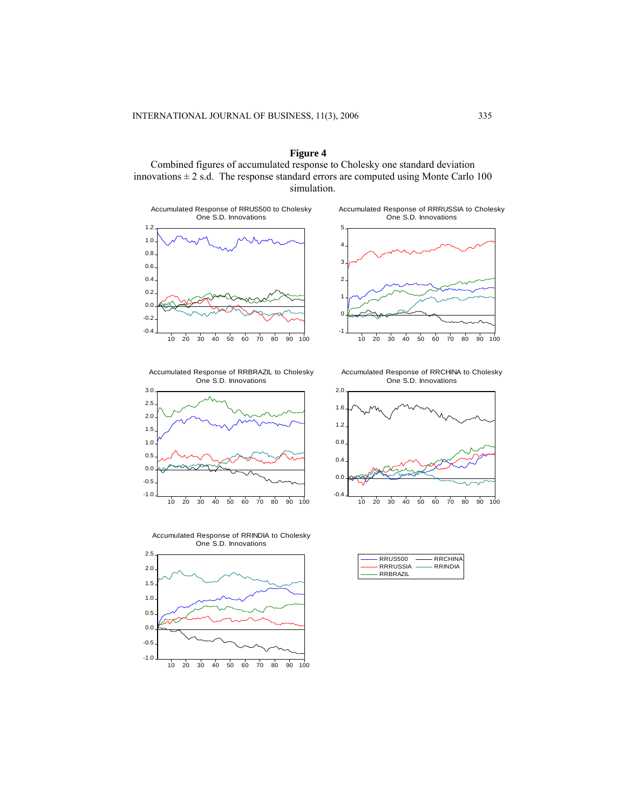**Figure 4**  Combined figures of accumulated response to Cholesky one standard deviation innovations  $\pm 2$  s.d. The response standard errors are computed using Monte Carlo 100 simulation.



Accumulated Response of RRRUSSIA to Cholesky One S.D. Innovations



Accumulated Response of RRBRAZIL to Cholesky One S.D. Innovations



Accumulated Response of RRCHINA to Cholesky One S.D. Innovations



Accumulated Response of RRINDIA to Cholesky One S.D. Innovations



| <b>RRUS500</b>  | <b>RRCHINA</b> |
|-----------------|----------------|
| <b>RRRUSSIA</b> | <b>RRINDIA</b> |
| RRBRAZIL        |                |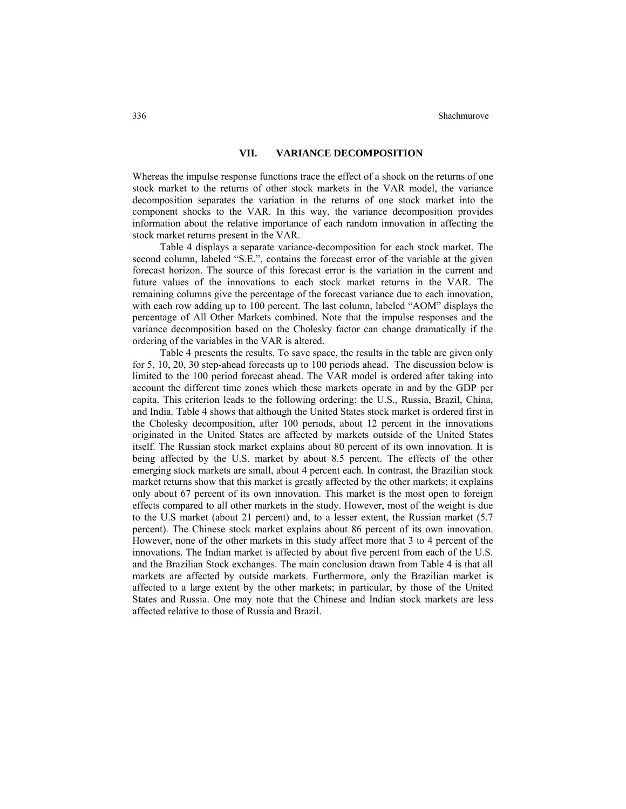# **VII. VARIANCE DECOMPOSITION**

Whereas the impulse response functions trace the effect of a shock on the returns of one stock market to the returns of other stock markets in the VAR model, the variance decomposition separates the variation in the returns of one stock market into the component shocks to the VAR. In this way, the variance decomposition provides information about the relative importance of each random innovation in affecting the stock market returns present in the VAR.

Table 4 displays a separate variance-decomposition for each stock market. The second column, labeled "S.E.", contains the forecast error of the variable at the given forecast horizon. The source of this forecast error is the variation in the current and future values of the innovations to each stock market returns in the VAR. The remaining columns give the percentage of the forecast variance due to each innovation, with each row adding up to 100 percent. The last column, labeled "AOM" displays the percentage of All Other Markets combined. Note that the impulse responses and the variance decomposition based on the Cholesky factor can change dramatically if the ordering of the variables in the VAR is altered.

Table 4 presents the results. To save space, the results in the table are given only for 5, 10, 20, 30 step-ahead forecasts up to 100 periods ahead. The discussion below is limited to the 100 period forecast ahead. The VAR model is ordered after taking into account the different time zones which these markets operate in and by the GDP per capita. This criterion leads to the following ordering: the U.S., Russia, Brazil, China, and India. Table 4 shows that although the United States stock market is ordered first in the Cholesky decomposition, after 100 periods, about 12 percent in the innovations originated in the United States are affected by markets outside of the United States itself. The Russian stock market explains about 80 percent of its own innovation. It is being affected by the U.S. market by about 8.5 percent. The effects of the other emerging stock markets are small, about 4 percent each. In contrast, the Brazilian stock market returns show that this market is greatly affected by the other markets; it explains only about 67 percent of its own innovation. This market is the most open to foreign effects compared to all other markets in the study. However, most of the weight is due to the U.S market (about 21 percent) and, to a lesser extent, the Russian market (5.7 percent). The Chinese stock market explains about 86 percent of its own innovation. However, none of the other markets in this study affect more that 3 to 4 percent of the innovations. The Indian market is affected by about five percent from each of the U.S. and the Brazilian Stock exchanges. The main conclusion drawn from Table 4 is that all markets are affected by outside markets. Furthermore, only the Brazilian market is affected to a large extent by the other markets; in particular, by those of the United States and Russia. One may note that the Chinese and Indian stock markets are less affected relative to those of Russia and Brazil.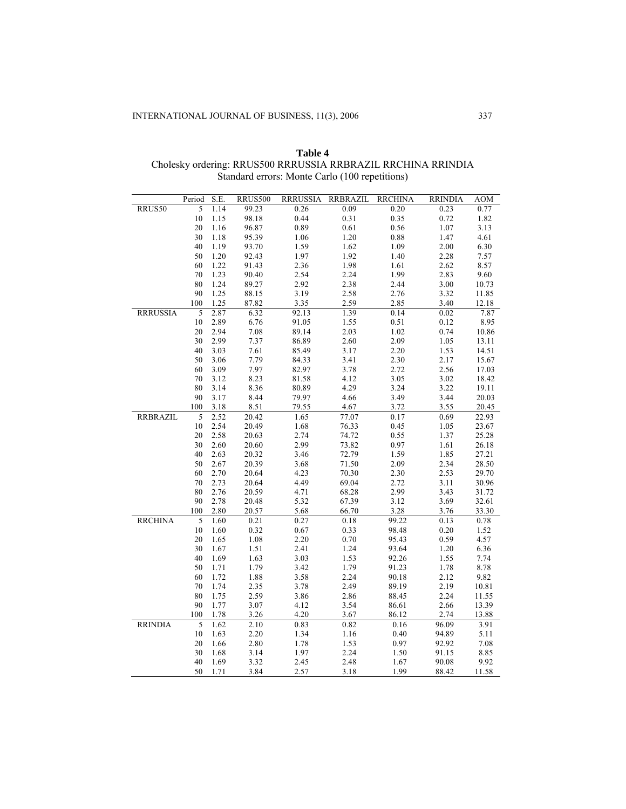|                 | Period       | S.E.         | <b>RRUS500</b> | <b>RRRUSSIA</b> | <b>RRBRAZIL</b> | <b>RRCHINA</b> | <b>RRINDIA</b> | AOM            |
|-----------------|--------------|--------------|----------------|-----------------|-----------------|----------------|----------------|----------------|
| RRUS50          | 5            | 1.14         | 99.23          | 0.26            | 0.09            | 0.20           | 0.23           | 0.77           |
|                 | $10\,$       | 1.15         | 98.18          | 0.44            | 0.31            | 0.35           | 0.72           | 1.82           |
|                 | $20\,$       | 1.16         | 96.87          | 0.89            | $0.61\,$        | 0.56           | $1.07\,$       | 3.13           |
|                 | 30           | 1.18         | 95.39          | 1.06            | 1.20            | 0.88           | 1.47           | 4.61           |
|                 | 40           | 1.19         | 93.70          | 1.59            | 1.62            | 1.09           | 2.00           | 6.30           |
|                 | 50           | 1.20         | 92.43          | 1.97            | 1.92            | 1.40           | 2.28           | 7.57           |
|                 | 60           | 1.22         | 91.43          | 2.36            | 1.98            | 1.61           | 2.62           | 8.57           |
|                 | 70           | 1.23         | 90.40          | 2.54            | 2.24            | 1.99           | 2.83           | 9.60           |
|                 | 80           | 1.24         | 89.27          | 2.92            | 2.38            | 2.44           | $3.00\,$       | 10.73          |
|                 | 90           | 1.25         | 88.15          | 3.19            | 2.58            | 2.76           | 3.32           | 11.85          |
|                 | 100          | 1.25         | 87.82          | 3.35            | 2.59            | 2.85           | 3.40           | 12.18          |
| <b>RRRUSSIA</b> | 5            | 2.87         | 6.32           | 92.13           | 1.39            | 0.14           | $0.02\,$       | 7.87           |
|                 | 10           | 2.89         | 6.76           | 91.05           | 1.55            | 0.51           | 0.12           | 8.95           |
|                 | 20           | 2.94         | 7.08           | 89.14           | 2.03            | 1.02           | 0.74           | 10.86          |
|                 | 30           | 2.99         | 7.37           | 86.89           | 2.60            | 2.09           | 1.05           | 13.11          |
|                 | 40           | 3.03         | 7.61           | 85.49           | 3.17            | 2.20           | 1.53           | 14.51          |
|                 | 50           | 3.06         | 7.79           | 84.33           | 3.41            | 2.30           | 2.17           | 15.67          |
|                 | 60           | 3.09         | 7.97           | 82.97           | 3.78            | 2.72           | 2.56           | 17.03          |
|                 | 70           | 3.12         | 8.23           | 81.58           | 4.12            | 3.05           | $3.02\,$       | 18.42          |
|                 | 80           | 3.14         | 8.36           | 80.89           | 4.29            | 3.24           | 3.22           | 19.11          |
|                 | 90           | 3.17         | 8.44           | 79.97           | 4.66            | 3.49           | 3.44           | 20.03          |
|                 | 100          | 3.18         | 8.51           | 79.55           | 4.67            | 3.72           | 3.55           | 20.45          |
| <b>RRBRAZIL</b> | 5            | 2.52         | 20.42          | 1.65            | 77.07           | 0.17           | 0.69           | 22.93          |
|                 | 10           | 2.54         | 20.49          | 1.68            | 76.33           | 0.45           | $1.05\,$       | 23.67          |
|                 | 20           | 2.58         | 20.63          | 2.74            | 74.72           | 0.55           | 1.37           | 25.28          |
|                 | 30           | 2.60         | 20.60          | 2.99            | 73.82           | 0.97           | 1.61           | 26.18          |
|                 | 40           | 2.63         | 20.32          | 3.46            | 72.79           | 1.59           | 1.85           | 27.21          |
|                 | 50           | 2.67         | 20.39          | 3.68            | 71.50           | 2.09           | 2.34           | 28.50          |
|                 | 60           | 2.70         | 20.64          | 4.23            | 70.30           | 2.30           | 2.53           | 29.70          |
|                 | $70\,$       | 2.73         | 20.64          | 4.49            | 69.04           | 2.72           | 3.11           | 30.96          |
|                 | 80           | 2.76         | 20.59          | 4.71            | 68.28           | 2.99           | 3.43           | 31.72          |
|                 | 90           | 2.78         | 20.48          | 5.32            | 67.39           | 3.12           | 3.69           | 32.61          |
|                 | 100          | 2.80         | 20.57          | 5.68            | 66.70           | 3.28           | 3.76           | 33.30          |
| <b>RRCHINA</b>  | 5            | 1.60         | 0.21           | 0.27            | $0.18\,$        | 99.22          | 0.13           | 0.78           |
|                 | 10           | 1.60         | 0.32           | $0.67\,$        | 0.33            | 98.48          | $0.20\,$       | 1.52           |
|                 | 20           | 1.65         | 1.08           | 2.20            | 0.70            | 95.43          | 0.59           | 4.57           |
|                 | 30           | 1.67         | 1.51           | 2.41            | 1.24            | 93.64          | $1.20\,$       | 6.36           |
|                 | 40           | 1.69         | 1.63           | 3.03            | 1.53            | 92.26          | 1.55           | 7.74           |
|                 | 50           | 1.71         | 1.79           | 3.42            | 1.79            | 91.23          | 1.78           | 8.78           |
|                 | 60           | 1.72         | 1.88           | 3.58            | 2.24<br>2.49    | 90.18          | 2.12           | 9.82           |
|                 | $70\,$<br>80 | 1.74<br>1.75 | 2.35<br>2.59   | 3.78<br>3.86    |                 | 89.19<br>88.45 | 2.19<br>2.24   | 10.81          |
|                 |              |              |                |                 | 2.86            |                |                | 11.55          |
|                 | 90<br>100    | 1.77<br>1.78 | 3.07<br>3.26   | 4.12<br>4.20    | 3.54<br>3.67    | 86.61<br>86.12 | 2.66<br>2.74   | 13.39<br>13.88 |
|                 | 5            |              |                |                 |                 |                |                |                |
| <b>RRINDIA</b>  | 10           | 1.62<br>1.63 | 2.10<br>2.20   | 0.83<br>1.34    | 0.82<br>1.16    | 0.16<br>0.40   | 96.09<br>94.89 | 3.91<br>5.11   |
|                 | $20\,$       | 1.66         | 2.80           | 1.78            | 1.53            | 0.97           | 92.92          | 7.08           |
|                 | 30           | 1.68         | 3.14           | 1.97            | 2.24            | 1.50           | 91.15          | 8.85           |
|                 | 40           | 1.69         | 3.32           | 2.45            | 2.48            | 1.67           | 90.08          | 9.92           |
|                 | 50           | 1.71         | 3.84           | 2.57            | 3.18            | 1.99           | 88.42          | 11.58          |
|                 |              |              |                |                 |                 |                |                |                |

**Table 4** Cholesky ordering: RRUS500 RRRUSSIA RRBRAZIL RRCHINA RRINDIA Standard errors: Monte Carlo (100 repetitions)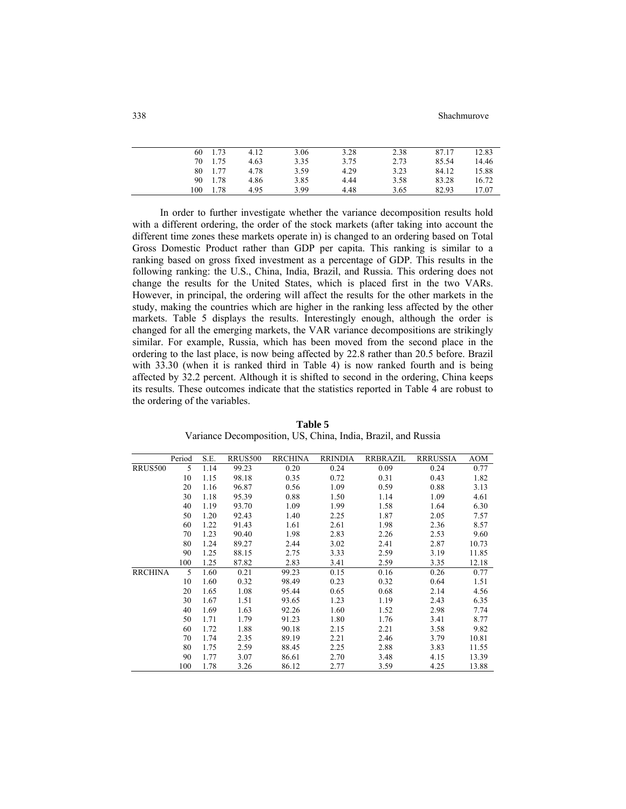338 Shachmurove

|     | 60 | 1.73 | 4.12 | 3.06 | 3.28 | 2.38 | 87.17 | 12.83 |
|-----|----|------|------|------|------|------|-------|-------|
|     | 70 | 1.75 | 4.63 | 3.35 | 3.75 | 2.73 | 85.54 | 14.46 |
|     | 80 | 1.77 | 4.78 | 3.59 | 4.29 | 3.23 | 84.12 | 15.88 |
|     | 90 | 1.78 | 4.86 | 3.85 | 4.44 | 3.58 | 83.28 | 16.72 |
| 100 |    | 1.78 | 4.95 | 3.99 | 4.48 | 3.65 | 82.93 | 17.07 |
|     |    |      |      |      |      |      |       |       |

In order to further investigate whether the variance decomposition results hold with a different ordering, the order of the stock markets (after taking into account the different time zones these markets operate in) is changed to an ordering based on Total Gross Domestic Product rather than GDP per capita. This ranking is similar to a ranking based on gross fixed investment as a percentage of GDP. This results in the following ranking: the U.S., China, India, Brazil, and Russia. This ordering does not change the results for the United States, which is placed first in the two VARs. However, in principal, the ordering will affect the results for the other markets in the study, making the countries which are higher in the ranking less affected by the other markets. Table 5 displays the results. Interestingly enough, although the order is changed for all the emerging markets, the VAR variance decompositions are strikingly similar. For example, Russia, which has been moved from the second place in the ordering to the last place, is now being affected by 22.8 rather than 20.5 before. Brazil with 33.30 (when it is ranked third in Table 4) is now ranked fourth and is being affected by 32.2 percent. Although it is shifted to second in the ordering, China keeps its results. These outcomes indicate that the statistics reported in Table 4 are robust to the ordering of the variables.

|                | Period | S.E. | <b>RRUS500</b> | <b>RRCHINA</b> | <b>RRINDIA</b> | RRBRAZIL | <b>RRRUSSIA</b> | <b>AOM</b> |
|----------------|--------|------|----------------|----------------|----------------|----------|-----------------|------------|
| <b>RRUS500</b> | 5      | 1.14 | 99.23          | 0.20           | 0.24           | 0.09     | 0.24            | 0.77       |
|                | 10     | 1.15 | 98.18          | 0.35           | 0.72           | 0.31     | 0.43            | 1.82       |
|                | 20     | 1.16 | 96.87          | 0.56           | 1.09           | 0.59     | 0.88            | 3.13       |
|                | 30     | 1.18 | 95.39          | 0.88           | 1.50           | 1.14     | 1.09            | 4.61       |
|                | 40     | 1.19 | 93.70          | 1.09           | 1.99           | 1.58     | 1.64            | 6.30       |
|                | 50     | 1.20 | 92.43          | 1.40           | 2.25           | 1.87     | 2.05            | 7.57       |
|                | 60     | 1.22 | 91.43          | 1.61           | 2.61           | 1.98     | 2.36            | 8.57       |
|                | 70     | 1.23 | 90.40          | 1.98           | 2.83           | 2.26     | 2.53            | 9.60       |
|                | 80     | 1.24 | 89.27          | 2.44           | 3.02           | 2.41     | 2.87            | 10.73      |
|                | 90     | 1.25 | 88.15          | 2.75           | 3.33           | 2.59     | 3.19            | 11.85      |
|                | 100    | 1.25 | 87.82          | 2.83           | 3.41           | 2.59     | 3.35            | 12.18      |
| <b>RRCHINA</b> | 5      | 1.60 | 0.21           | 99.23          | 0.15           | 0.16     | 0.26            | 0.77       |
|                | 10     | 1.60 | 0.32           | 98.49          | 0.23           | 0.32     | 0.64            | 1.51       |
|                | 20     | 1.65 | 1.08           | 95.44          | 0.65           | 0.68     | 2.14            | 4.56       |
|                | 30     | 1.67 | 1.51           | 93.65          | 1.23           | 1.19     | 2.43            | 6.35       |
|                | 40     | 1.69 | 1.63           | 92.26          | 1.60           | 1.52     | 2.98            | 7.74       |
|                | 50     | 1.71 | 1.79           | 91.23          | 1.80           | 1.76     | 3.41            | 8.77       |
|                | 60     | 1.72 | 1.88           | 90.18          | 2.15           | 2.21     | 3.58            | 9.82       |
|                | 70     | 1.74 | 2.35           | 89.19          | 2.21           | 2.46     | 3.79            | 10.81      |
|                | 80     | 1.75 | 2.59           | 88.45          | 2.25           | 2.88     | 3.83            | 11.55      |
|                | 90     | 1.77 | 3.07           | 86.61          | 2.70           | 3.48     | 4.15            | 13.39      |
|                | 100    | 1.78 | 3.26           | 86.12          | 2.77           | 3.59     | 4.25            | 13.88      |

**Table 5** Variance Decomposition, US, China, India, Brazil, and Russia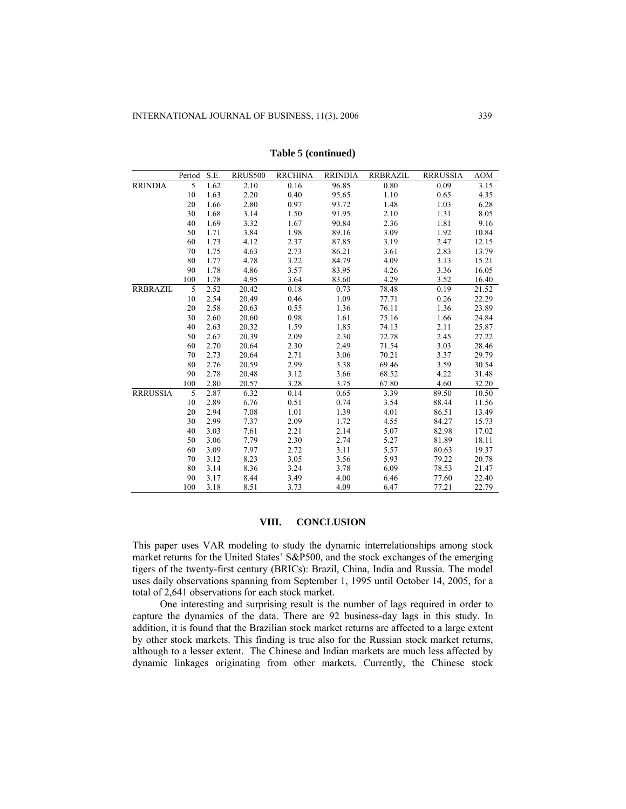|                 | Period | S.E. | <b>RRUS500</b> | <b>RRCHINA</b> | <b>RRINDIA</b> | <b>RRBRAZIL</b> | <b>RRRUSSIA</b> | <b>AOM</b> |
|-----------------|--------|------|----------------|----------------|----------------|-----------------|-----------------|------------|
| <b>RRINDIA</b>  | 5      | 1.62 | 2.10           | 0.16           | 96.85          | 0.80            | 0.09            | 3.15       |
|                 | 10     | 1.63 | 2.20           | 0.40           | 95.65          | 1.10            | 0.65            | 4.35       |
|                 | 20     | 1.66 | 2.80           | 0.97           | 93.72          | 1.48            | 1.03            | 6.28       |
|                 | 30     | 1.68 | 3.14           | 1.50           | 91.95          | 2.10            | 1.31            | 8.05       |
|                 | 40     | 1.69 | 3.32           | 1.67           | 90.84          | 2.36            | 1.81            | 9.16       |
|                 | 50     | 1.71 | 3.84           | 1.98           | 89.16          | 3.09            | 1.92            | 10.84      |
|                 | 60     | 1.73 | 4.12           | 2.37           | 87.85          | 3.19            | 2.47            | 12.15      |
|                 | 70     | 1.75 | 4.63           | 2.73           | 86.21          | 3.61            | 2.83            | 13.79      |
|                 | 80     | 1.77 | 4.78           | 3.22           | 84.79          | 4.09            | 3.13            | 15.21      |
|                 | 90     | 1.78 | 4.86           | 3.57           | 83.95          | 4.26            | 3.36            | 16.05      |
|                 | 100    | 1.78 | 4.95           | 3.64           | 83.60          | 4.29            | 3.52            | 16.40      |
| <b>RRBRAZIL</b> | 5      | 2.52 | 20.42          | 0.18           | 0.73           | 78.48           | 0.19            | 21.52      |
|                 | 10     | 2.54 | 20.49          | 0.46           | 1.09           | 77.71           | 0.26            | 22.29      |
|                 | 20     | 2.58 | 20.63          | 0.55           | 1.36           | 76.11           | 1.36            | 23.89      |
|                 | 30     | 2.60 | 20.60          | 0.98           | 1.61           | 75.16           | 1.66            | 24.84      |
|                 | 40     | 2.63 | 20.32          | 1.59           | 1.85           | 74.13           | 2.11            | 25.87      |
|                 | 50     | 2.67 | 20.39          | 2.09           | 2.30           | 72.78           | 2.45            | 27.22      |
|                 | 60     | 2.70 | 20.64          | 2.30           | 2.49           | 71.54           | 3.03            | 28.46      |
|                 | 70     | 2.73 | 20.64          | 2.71           | 3.06           | 70.21           | 3.37            | 29.79      |
|                 | 80     | 2.76 | 20.59          | 2.99           | 3.38           | 69.46           | 3.59            | 30.54      |
|                 | 90     | 2.78 | 20.48          | 3.12           | 3.66           | 68.52           | 4.22            | 31.48      |
|                 | 100    | 2.80 | 20.57          | 3.28           | 3.75           | 67.80           | 4.60            | 32.20      |
| <b>RRRUSSIA</b> | 5      | 2.87 | 6.32           | 0.14           | 0.65           | 3.39            | 89.50           | 10.50      |
|                 | 10     | 2.89 | 6.76           | 0.51           | 0.74           | 3.54            | 88.44           | 11.56      |
|                 | 20     | 2.94 | 7.08           | 1.01           | 1.39           | 4.01            | 86.51           | 13.49      |
|                 | 30     | 2.99 | 7.37           | 2.09           | 1.72           | 4.55            | 84.27           | 15.73      |
|                 | 40     | 3.03 | 7.61           | 2.21           | 2.14           | 5.07            | 82.98           | 17.02      |
|                 | 50     | 3.06 | 7.79           | 2.30           | 2.74           | 5.27            | 81.89           | 18.11      |
|                 | 60     | 3.09 | 7.97           | 2.72           | 3.11           | 5.57            | 80.63           | 19.37      |
|                 | 70     | 3.12 | 8.23           | 3.05           | 3.56           | 5.93            | 79.22           | 20.78      |
|                 | 80     | 3.14 | 8.36           | 3.24           | 3.78           | 6.09            | 78.53           | 21.47      |
|                 | 90     | 3.17 | 8.44           | 3.49           | 4.00           | 6.46            | 77.60           | 22.40      |
|                 | 100    | 3.18 | 8.51           | 3.73           | 4.09           | 6.47            | 77.21           | 22.79      |

**Table 5 (continued)** 

# **VIII. CONCLUSION**

This paper uses VAR modeling to study the dynamic interrelationships among stock market returns for the United States' S&P500, and the stock exchanges of the emerging tigers of the twenty-first century (BRICs): Brazil, China, India and Russia. The model uses daily observations spanning from September 1, 1995 until October 14, 2005, for a total of 2,641 observations for each stock market.

One interesting and surprising result is the number of lags required in order to capture the dynamics of the data. There are 92 business-day lags in this study. In addition, it is found that the Brazilian stock market returns are affected to a large extent by other stock markets. This finding is true also for the Russian stock market returns, although to a lesser extent. The Chinese and Indian markets are much less affected by dynamic linkages originating from other markets. Currently, the Chinese stock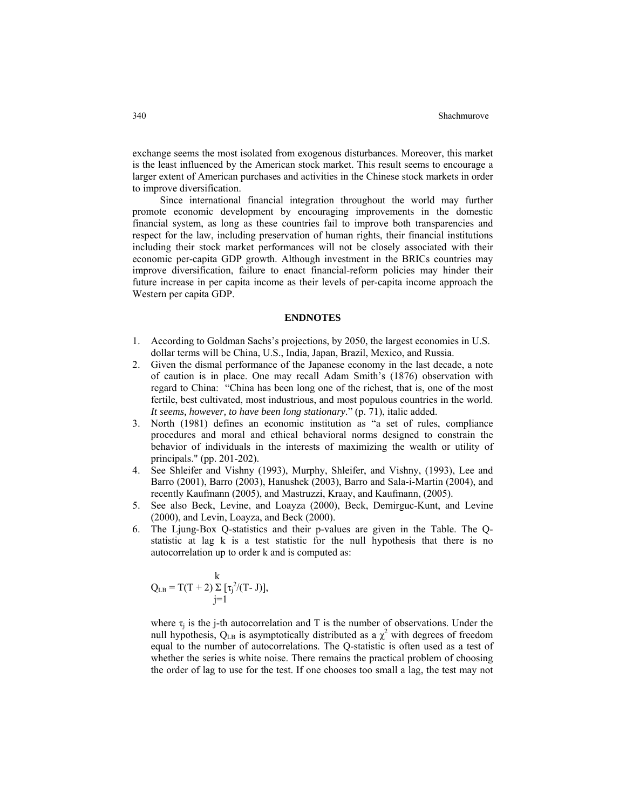exchange seems the most isolated from exogenous disturbances. Moreover, this market is the least influenced by the American stock market. This result seems to encourage a larger extent of American purchases and activities in the Chinese stock markets in order to improve diversification.

Since international financial integration throughout the world may further promote economic development by encouraging improvements in the domestic financial system, as long as these countries fail to improve both transparencies and respect for the law, including preservation of human rights, their financial institutions including their stock market performances will not be closely associated with their economic per-capita GDP growth. Although investment in the BRICs countries may improve diversification, failure to enact financial-reform policies may hinder their future increase in per capita income as their levels of per-capita income approach the Western per capita GDP.

#### **ENDNOTES**

- 1. According to Goldman Sachs's projections, by 2050, the largest economies in U.S. dollar terms will be China, U.S., India, Japan, Brazil, Mexico, and Russia.
- 2. Given the dismal performance of the Japanese economy in the last decade, a note of caution is in place. One may recall Adam Smith's (1876) observation with regard to China: "China has been long one of the richest, that is, one of the most fertile, best cultivated, most industrious, and most populous countries in the world. *It seems, however, to have been long stationary*." (p. 71), italic added.
- 3. North (1981) defines an economic institution as "a set of rules, compliance procedures and moral and ethical behavioral norms designed to constrain the behavior of individuals in the interests of maximizing the wealth or utility of principals." (pp. 201-202).
- 4. See Shleifer and Vishny (1993), Murphy, Shleifer, and Vishny, (1993), Lee and Barro (2001), Barro (2003), Hanushek (2003), Barro and Sala-i-Martin (2004), and recently Kaufmann (2005), and Mastruzzi, Kraay, and Kaufmann, (2005).
- 5. See also Beck, Levine, and Loayza (2000), Beck, Demirguc-Kunt, and Levine (2000), and Levin, Loayza, and Beck (2000).
- 6. The Ljung-Box Q-statistics and their p-values are given in the Table. The Qstatistic at lag k is a test statistic for the null hypothesis that there is no autocorrelation up to order k and is computed as:

$$
Q_{LB} = T(T + 2) \sum_{j=1}^{k} [\tau_j^{2}/(T - J)],
$$

where  $\tau_j$  is the j-th autocorrelation and T is the number of observations. Under the null hypothesis,  $Q_{LB}$  is asymptotically distributed as a  $\chi^2$  with degrees of freedom equal to the number of autocorrelations. The Q-statistic is often used as a test of whether the series is white noise. There remains the practical problem of choosing the order of lag to use for the test. If one chooses too small a lag, the test may not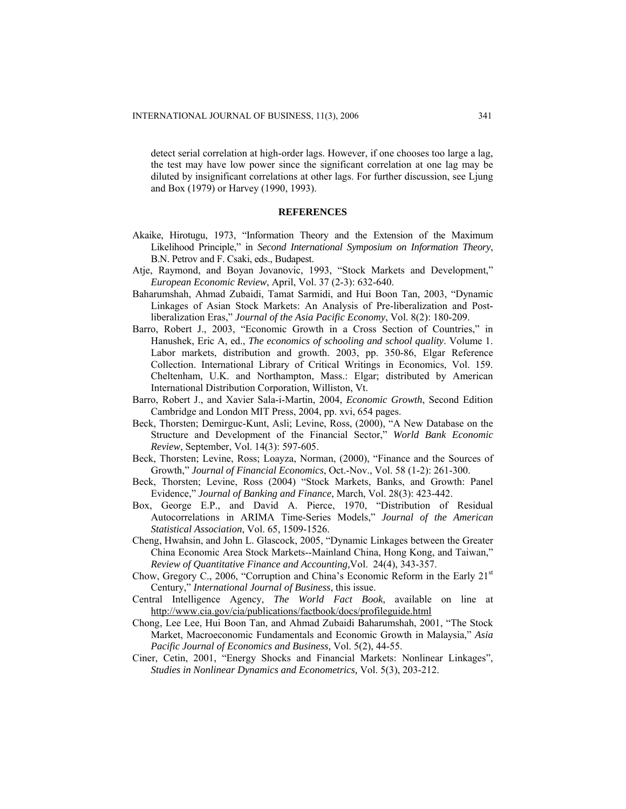detect serial correlation at high-order lags. However, if one chooses too large a lag, the test may have low power since the significant correlation at one lag may be diluted by insignificant correlations at other lags. For further discussion, see Ljung and Box (1979) or Harvey (1990, 1993).

#### **REFERENCES**

- Akaike, Hirotugu, 1973, "Information Theory and the Extension of the Maximum Likelihood Principle," in *Second International Symposium on Information Theory*, B.N. Petrov and F. Csaki, eds., Budapest.
- Atje, Raymond, and Boyan Jovanovic, 1993, "Stock Markets and Development," *European Economic Review*, April, Vol. 37 (2-3): 632-640.
- Baharumshah, Ahmad Zubaidi, Tamat Sarmidi, and Hui Boon Tan, 2003, "Dynamic Linkages of Asian Stock Markets: An Analysis of Pre-liberalization and Postliberalization Eras," *Journal of the Asia Pacific Economy*, Vol. 8(2): 180-209.
- Barro, Robert J., 2003, "Economic Growth in a Cross Section of Countries," in Hanushek, Eric A, ed., *The economics of schooling and school quality*. Volume 1. Labor markets, distribution and growth. 2003, pp. 350-86, Elgar Reference Collection. International Library of Critical Writings in Economics, Vol. 159. Cheltenham, U.K. and Northampton, Mass.: Elgar; distributed by American International Distribution Corporation, Williston, Vt.
- Barro, Robert J., and Xavier Sala-i-Martin, 2004, *Economic Growth*, Second Edition Cambridge and London MIT Press, 2004, pp. xvi, 654 pages.
- Beck, Thorsten; Demirguc-Kunt, Asli; Levine, Ross, (2000), "A New Database on the Structure and Development of the Financial Sector," *World Bank Economic Review*, September, Vol. 14(3): 597-605.
- Beck, Thorsten; Levine, Ross; Loayza, Norman, (2000), "Finance and the Sources of Growth," *Journal of Financial Economics*, Oct.-Nov., Vol. 58 (1-2): 261-300.
- Beck, Thorsten; Levine, Ross (2004) "Stock Markets, Banks, and Growth: Panel Evidence," *Journal of Banking and Finance*, March, Vol. 28(3): 423-442.
- Box, George E.P., and David A. Pierce, 1970, "Distribution of Residual Autocorrelations in ARIMA Time-Series Models," *Journal of the American Statistical Association*, Vol. 65, 1509-1526.
- Cheng, Hwahsin, and John L. Glascock, 2005, "Dynamic Linkages between the Greater China Economic Area Stock Markets--Mainland China, Hong Kong, and Taiwan," *Review of Quantitative Finance and Accounting,*Vol. 24(4), 343-357.
- Chow, Gregory C., 2006, "Corruption and China's Economic Reform in the Early  $21<sup>st</sup>$ Century," *International Journal of Business*, this issue.
- Central Intelligence Agency, *The World Fact Book*, available on line at <http://www.cia.gov/cia/publications/factbook/docs/profileguide.html>
- Chong, Lee Lee, Hui Boon Tan, and Ahmad Zubaidi Baharumshah, 2001, "The Stock Market, Macroeconomic Fundamentals and Economic Growth in Malaysia," *Asia Pacific Journal of Economics and Business,* Vol. 5(2), 44-55.
- Ciner, Cetin, 2001, "Energy Shocks and Financial Markets: Nonlinear Linkages", *Studies in Nonlinear Dynamics and Econometrics,* Vol. 5(3), 203-212.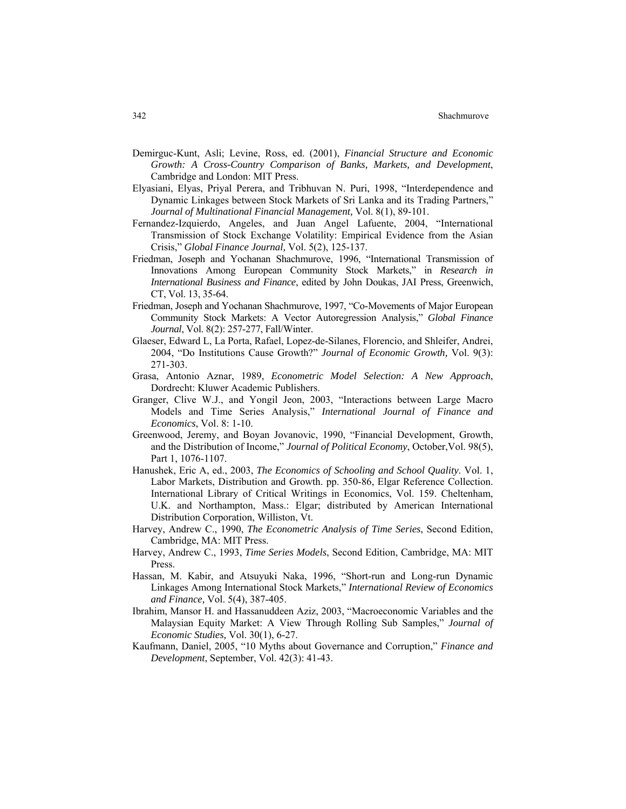- Demirguc-Kunt, Asli; Levine, Ross, ed. (2001), *Financial Structure and Economic Growth: A Cross-Country Comparison of Banks, Markets, and Development*, Cambridge and London: MIT Press.
- Elyasiani, Elyas, Priyal Perera, and Tribhuvan N. Puri, 1998, "Interdependence and Dynamic Linkages between Stock Markets of Sri Lanka and its Trading Partners," *Journal of Multinational Financial Management,* Vol. 8(1), 89-101.
- Fernandez-Izquierdo, Angeles, and Juan Angel Lafuente, 2004, "International Transmission of Stock Exchange Volatility: Empirical Evidence from the Asian Crisis," *Global Finance Journal,* Vol. 5(2), 125-137.
- Friedman, Joseph and Yochanan Shachmurove, 1996, "International Transmission of Innovations Among European Community Stock Markets," in *Research in International Business and Finance*, edited by John Doukas, JAI Press, Greenwich, CT, Vol. 13, 35-64.
- Friedman, Joseph and Yochanan Shachmurove, 1997, "Co-Movements of Major European Community Stock Markets: A Vector Autoregression Analysis," *Global Finance Journal*, Vol. 8(2): 257-277, Fall/Winter.
- Glaeser, Edward L, La Porta, Rafael, Lopez-de-Silanes, Florencio, and Shleifer, Andrei, 2004, "Do Institutions Cause Growth?" *Journal of Economic Growth,* Vol. 9(3): 271-303.
- Grasa, Antonio Aznar, 1989, *Econometric Model Selection: A New Approach*, Dordrecht: Kluwer Academic Publishers.
- Granger, Clive W.J., and Yongil Jeon, 2003, "Interactions between Large Macro Models and Time Series Analysis," *International Journal of Finance and Economics*, Vol. 8: 1-10.
- Greenwood, Jeremy, and Boyan Jovanovic, 1990, "Financial Development, Growth, and the Distribution of Income," *Journal of Political Economy*, October,Vol. 98(5), Part 1, 1076-1107.
- Hanushek, Eric A, ed., 2003, *The Economics of Schooling and School Quality*. Vol. 1, Labor Markets, Distribution and Growth. pp. 350-86, Elgar Reference Collection. International Library of Critical Writings in Economics, Vol. 159. Cheltenham, U.K. and Northampton, Mass.: Elgar; distributed by American International Distribution Corporation, Williston, Vt.
- Harvey, Andrew C., 1990, *The Econometric Analysis of Time Series*, Second Edition, Cambridge, MA: MIT Press.
- Harvey, Andrew C., 1993, *Time Series Models*, Second Edition, Cambridge, MA: MIT Press.
- Hassan, M. Kabir, and Atsuyuki Naka, 1996, "Short-run and Long-run Dynamic Linkages Among International Stock Markets," *International Review of Economics and Finance,* Vol. 5(4), 387-405.
- Ibrahim, Mansor H. and Hassanuddeen Aziz, 2003, "Macroeconomic Variables and the Malaysian Equity Market: A View Through Rolling Sub Samples," *Journal of Economic Studies,* Vol. 30(1), 6-27.
- Kaufmann, Daniel, 2005, "10 Myths about Governance and Corruption," *Finance and Development*, September, Vol. 42(3): 41-43.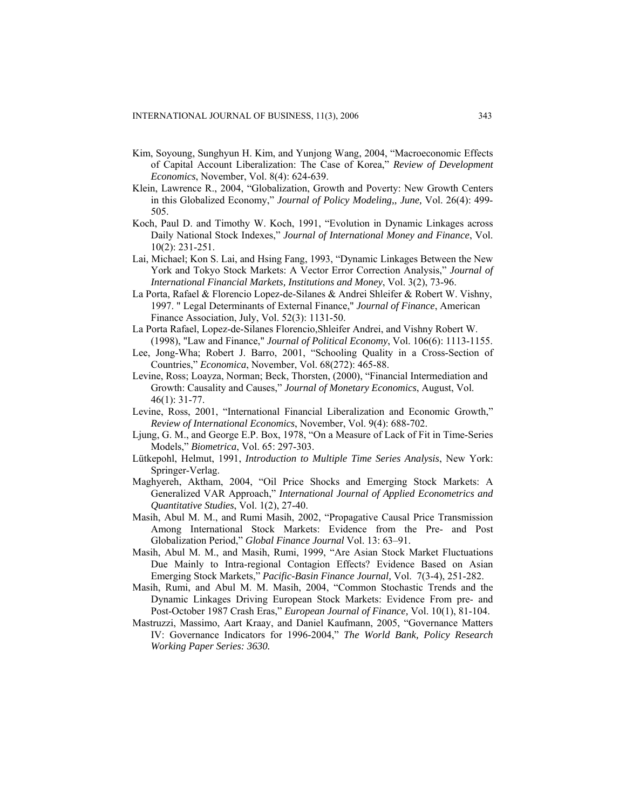- Kim, Soyoung, Sunghyun H. Kim, and Yunjong Wang, 2004, "Macroeconomic Effects of Capital Account Liberalization: The Case of Korea," *Review of Development Economics*, November, Vol. 8(4): 624-639.
- Klein, Lawrence R., 2004, "Globalization, Growth and Poverty: New Growth Centers in this Globalized Economy," *Journal of Policy Modeling,, June,* Vol. 26(4): 499- 505.
- Koch, Paul D. and Timothy W. Koch, 1991, "Evolution in Dynamic Linkages across Daily National Stock Indexes," *Journal of International Money and Finance*, Vol. 10(2): 231-251.
- Lai, Michael; Kon S. Lai, and Hsing Fang, 1993, "Dynamic Linkages Between the New York and Tokyo Stock Markets: A Vector Error Correction Analysis," *Journal of International Financial Markets, Institutions and Money*, Vol. 3(2), 73-96.
- La Porta, Rafael & Florencio Lopez-de-Silanes & Andrei Shleifer & Robert W. Vishny, 1997. " Legal Determinants of External Finance," *Journal of Finance*, American Finance Association, July, Vol. 52(3): 1131-50.
- La Porta Rafael, Lopez-de-Silanes Florencio,Shleifer Andrei, and Vishny Robert W. (1998), "Law and Finance," *Journal of Political Economy*, Vol. 106(6): 1113-1155.
- Lee, Jong-Wha; Robert J. Barro, 2001, "Schooling Quality in a Cross-Section of Countries," *Economica*, November, Vol. 68(272): 465-88.
- Levine, Ross; Loayza, Norman; Beck, Thorsten, (2000), "Financial Intermediation and Growth: Causality and Causes," *Journal of Monetary Economics*, August, Vol. 46(1): 31-77.
- Levine, Ross, 2001, "International Financial Liberalization and Economic Growth," *Review of International Economics*, November, Vol. 9(4): 688-702.
- Ljung, G. M., and George E.P. Box, 1978, "On a Measure of Lack of Fit in Time-Series Models," *Biometrica*, Vol. 65: 297-303.
- Lütkepohl, Helmut, 1991, *Introduction to Multiple Time Series Analysis*, New York: Springer-Verlag.
- Maghyereh, Aktham, 2004, "Oil Price Shocks and Emerging Stock Markets: A Generalized VAR Approach," *International Journal of Applied Econometrics and Quantitative Studies*, Vol. 1(2), 27-40.
- Masih, Abul M. M., and Rumi Masih, 2002, "Propagative Causal Price Transmission Among International Stock Markets: Evidence from the Pre- and Post Globalization Period," *Global Finance Journal* Vol. 13: 63–91.
- Masih, Abul M. M., and Masih, Rumi, 1999, "Are Asian Stock Market Fluctuations Due Mainly to Intra-regional Contagion Effects? Evidence Based on Asian Emerging Stock Markets," *Pacific-Basin Finance Journal,* Vol. 7(3-4), 251-282.
- Masih, Rumi, and Abul M. M. Masih, 2004, "Common Stochastic Trends and the Dynamic Linkages Driving European Stock Markets: Evidence From pre- and Post-October 1987 Crash Eras," *European Journal of Finance,* Vol. 10(1), 81-104.
- Mastruzzi, Massimo, Aart Kraay, and Daniel Kaufmann, 2005, "Governance Matters IV: Governance Indicators for 1996-2004," *The World Bank, Policy Research Working Paper Series: 3630.*